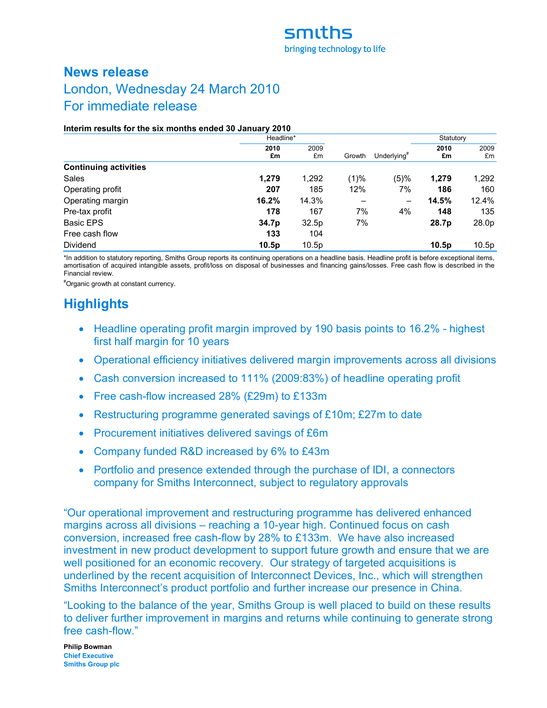# **News release**  London, Wednesday 24 March 2010 For immediate release

# **Interim results for the six months ended 30 January 2010**

|                              | Headline* |       |        |                         | Statutory |       |
|------------------------------|-----------|-------|--------|-------------------------|-----------|-------|
|                              | 2010      | 2009  |        |                         | 2010      | 2009  |
|                              | £m        | £m    | Growth | Underlying <sup>#</sup> | £m        | £m    |
| <b>Continuing activities</b> |           |       |        |                         |           |       |
| Sales                        | 1,279     | 1,292 | (1)%   | (5)%                    | 1,279     | 1,292 |
| Operating profit             | 207       | 185   | 12%    | 7%                      | 186       | 160   |
| Operating margin             | 16.2%     | 14.3% |        |                         | 14.5%     | 12.4% |
| Pre-tax profit               | 178       | 167   | 7%     | 4%                      | 148       | 135   |
| <b>Basic EPS</b>             | 34.7p     | 32.5p | 7%     |                         | 28.7p     | 28.0p |
| Free cash flow               | 133       | 104   |        |                         |           |       |
| <b>Dividend</b>              | 10.5p     | 10.5p |        |                         | 10.5p     | 10.5p |

\*In addition to statutory reporting, Smiths Group reports its continuing operations on a headline basis. Headline profit is before exceptional items, amortisation of acquired intangible assets, profit/loss on disposal of businesses and financing gains/losses. Free cash flow is described in the Financial review.

#Organic growth at constant currency.

# **Highlights**

- Headline operating profit margin improved by 190 basis points to 16.2% highest first half margin for 10 years
- Operational efficiency initiatives delivered margin improvements across all divisions
- Cash conversion increased to 111% (2009:83%) of headline operating profit
- Free cash-flow increased 28% (£29m) to £133m
- Restructuring programme generated savings of £10m; £27m to date
- Procurement initiatives delivered savings of £6m
- Company funded R&D increased by 6% to £43m
- Portfolio and presence extended through the purchase of IDI, a connectors company for Smiths Interconnect, subject to regulatory approvals

"Our operational improvement and restructuring programme has delivered enhanced margins across all divisions – reaching a 10-year high. Continued focus on cash conversion, increased free cash-flow by 28% to £133m. We have also increased investment in new product development to support future growth and ensure that we are well positioned for an economic recovery. Our strategy of targeted acquisitions is underlined by the recent acquisition of Interconnect Devices, Inc., which will strengthen Smiths Interconnect's product portfolio and further increase our presence in China.

"Looking to the balance of the year, Smiths Group is well placed to build on these results to deliver further improvement in margins and returns while continuing to generate strong free cash-flow."

**Philip Bowman Chief Executive Smiths Group plc**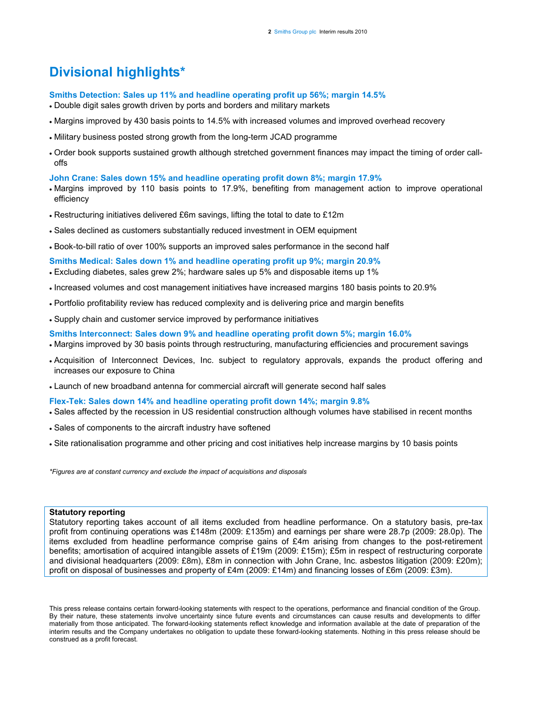# **Divisional highlights\***

# **Smiths Detection: Sales up 11% and headline operating profit up 56%; margin 14.5%**

- Double digit sales growth driven by ports and borders and military markets
- Margins improved by 430 basis points to 14.5% with increased volumes and improved overhead recovery
- Military business posted strong growth from the long-term JCAD programme
- Order book supports sustained growth although stretched government finances may impact the timing of order calloffs
- **John Crane: Sales down 15% and headline operating profit down 8%; margin 17.9%**
- Margins improved by 110 basis points to 17.9%, benefiting from management action to improve operational efficiency
- Restructuring initiatives delivered £6m savings, lifting the total to date to £12m
- Sales declined as customers substantially reduced investment in OEM equipment
- Book-to-bill ratio of over 100% supports an improved sales performance in the second half

**Smiths Medical: Sales down 1% and headline operating profit up 9%; margin 20.9%** 

- Excluding diabetes, sales grew 2%; hardware sales up 5% and disposable items up 1%
- Increased volumes and cost management initiatives have increased margins 180 basis points to 20.9%
- Portfolio profitability review has reduced complexity and is delivering price and margin benefits
- Supply chain and customer service improved by performance initiatives

**Smiths Interconnect: Sales down 9% and headline operating profit down 5%; margin 16.0%** 

- Margins improved by 30 basis points through restructuring, manufacturing efficiencies and procurement savings
- Acquisition of Interconnect Devices, Inc. subject to regulatory approvals, expands the product offering and increases our exposure to China
- Launch of new broadband antenna for commercial aircraft will generate second half sales

**Flex-Tek: Sales down 14% and headline operating profit down 14%; margin 9.8%** 

- Sales affected by the recession in US residential construction although volumes have stabilised in recent months
- Sales of components to the aircraft industry have softened
- Site rationalisation programme and other pricing and cost initiatives help increase margins by 10 basis points

*\*Figures are at constant currency and exclude the impact of acquisitions and disposals* 

# **Statutory reporting**

Statutory reporting takes account of all items excluded from headline performance. On a statutory basis, pre-tax profit from continuing operations was £148m (2009: £135m) and earnings per share were 28.7p (2009: 28.0p). The items excluded from headline performance comprise gains of £4m arising from changes to the post-retirement benefits; amortisation of acquired intangible assets of £19m (2009: £15m); £5m in respect of restructuring corporate and divisional headquarters (2009: £8m), £8m in connection with John Crane, Inc. asbestos litigation (2009: £20m); profit on disposal of businesses and property of £4m (2009: £14m) and financing losses of £6m (2009: £3m).

This press release contains certain forward-looking statements with respect to the operations, performance and financial condition of the Group. By their nature, these statements involve uncertainty since future events and circumstances can cause results and developments to differ materially from those anticipated. The forward-looking statements reflect knowledge and information available at the date of preparation of the interim results and the Company undertakes no obligation to update these forward-looking statements. Nothing in this press release should be construed as a profit forecast.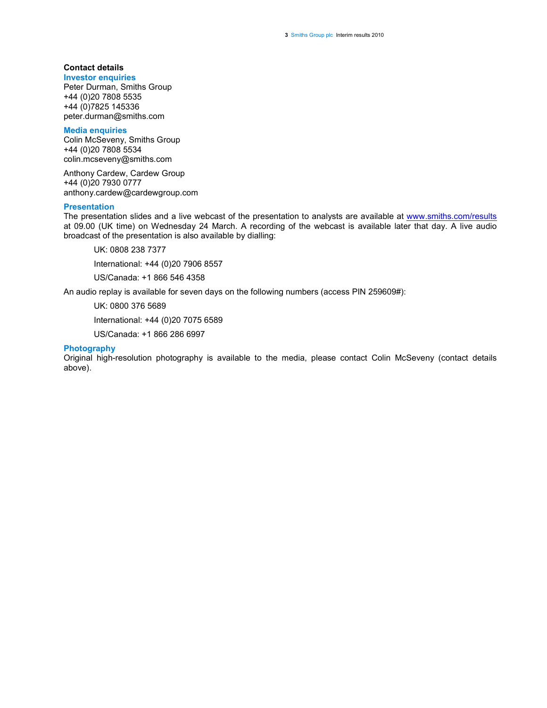# **Contact details**

**Investor enquiries**  Peter Durman, Smiths Group +44 (0)20 7808 5535 +44 (0)7825 145336 peter.durman@smiths.com

# **Media enquiries**

Colin McSeveny, Smiths Group +44 (0)20 7808 5534 colin.mcseveny@smiths.com

Anthony Cardew, Cardew Group +44 (0)20 7930 0777 anthony.cardew@cardewgroup.com

# **Presentation**

The presentation slides and a live webcast of the presentation to analysts are available at www.smiths.com/results at 09.00 (UK time) on Wednesday 24 March. A recording of the webcast is available later that day. A live audio broadcast of the presentation is also available by dialling:

UK: 0808 238 7377

International: +44 (0)20 7906 8557

US/Canada: +1 866 546 4358

An audio replay is available for seven days on the following numbers (access PIN 259609#):

UK: 0800 376 5689

International: +44 (0)20 7075 6589

US/Canada: +1 866 286 6997

# **Photography**

Original high-resolution photography is available to the media, please contact Colin McSeveny (contact details above).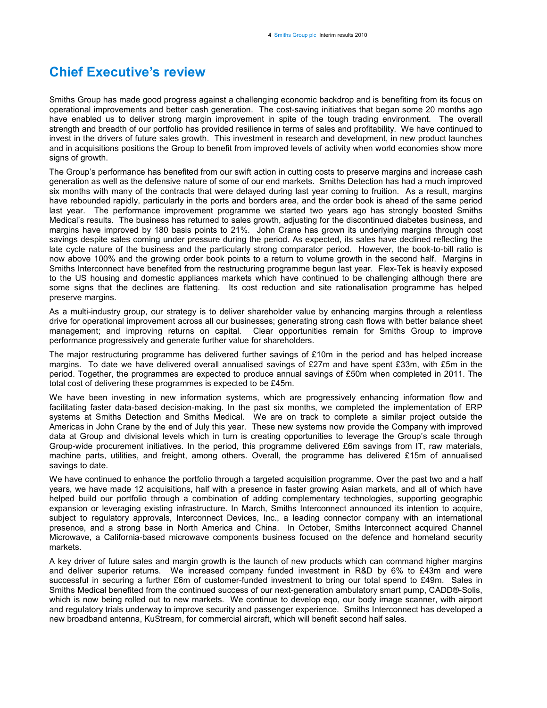# **Chief Executive's review**

Smiths Group has made good progress against a challenging economic backdrop and is benefiting from its focus on operational improvements and better cash generation. The cost-saving initiatives that began some 20 months ago have enabled us to deliver strong margin improvement in spite of the tough trading environment. The overall strength and breadth of our portfolio has provided resilience in terms of sales and profitability. We have continued to invest in the drivers of future sales growth. This investment in research and development, in new product launches and in acquisitions positions the Group to benefit from improved levels of activity when world economies show more signs of growth.

The Group's performance has benefited from our swift action in cutting costs to preserve margins and increase cash generation as well as the defensive nature of some of our end markets. Smiths Detection has had a much improved six months with many of the contracts that were delayed during last year coming to fruition. As a result, margins have rebounded rapidly, particularly in the ports and borders area, and the order book is ahead of the same period last year. The performance improvement programme we started two years ago has strongly boosted Smiths Medical's results. The business has returned to sales growth, adjusting for the discontinued diabetes business, and margins have improved by 180 basis points to 21%. John Crane has grown its underlying margins through cost savings despite sales coming under pressure during the period. As expected, its sales have declined reflecting the late cycle nature of the business and the particularly strong comparator period. However, the book-to-bill ratio is now above 100% and the growing order book points to a return to volume growth in the second half. Margins in Smiths Interconnect have benefited from the restructuring programme begun last year. Flex-Tek is heavily exposed to the US housing and domestic appliances markets which have continued to be challenging although there are some signs that the declines are flattening. Its cost reduction and site rationalisation programme has helped preserve margins.

As a multi-industry group, our strategy is to deliver shareholder value by enhancing margins through a relentless drive for operational improvement across all our businesses; generating strong cash flows with better balance sheet management; and improving returns on capital. Clear opportunities remain for Smiths Group to improve performance progressively and generate further value for shareholders.

The maior restructuring programme has delivered further savings of £10m in the period and has helped increase margins. To date we have delivered overall annualised savings of £27m and have spent £33m, with £5m in the period. Together, the programmes are expected to produce annual savings of £50m when completed in 2011. The total cost of delivering these programmes is expected to be £45m.

We have been investing in new information systems, which are progressively enhancing information flow and facilitating faster data-based decision-making. In the past six months, we completed the implementation of ERP systems at Smiths Detection and Smiths Medical. We are on track to complete a similar project outside the Americas in John Crane by the end of July this year. These new systems now provide the Company with improved data at Group and divisional levels which in turn is creating opportunities to leverage the Group's scale through Group-wide procurement initiatives. In the period, this programme delivered £6m savings from IT, raw materials, machine parts, utilities, and freight, among others. Overall, the programme has delivered £15m of annualised savings to date.

We have continued to enhance the portfolio through a targeted acquisition programme. Over the past two and a half years, we have made 12 acquisitions, half with a presence in faster growing Asian markets, and all of which have helped build our portfolio through a combination of adding complementary technologies, supporting geographic expansion or leveraging existing infrastructure. In March, Smiths Interconnect announced its intention to acquire, subject to regulatory approvals, Interconnect Devices, Inc., a leading connector company with an international presence, and a strong base in North America and China. In October, Smiths Interconnect acquired Channel Microwave, a California-based microwave components business focused on the defence and homeland security markets.

A key driver of future sales and margin growth is the launch of new products which can command higher margins and deliver superior returns. We increased company funded investment in R&D by 6% to £43m and were successful in securing a further £6m of customer-funded investment to bring our total spend to £49m. Sales in Smiths Medical benefited from the continued success of our next-generation ambulatory smart pump, CADD®-Solis, which is now being rolled out to new markets. We continue to develop eqo, our body image scanner, with airport and regulatory trials underway to improve security and passenger experience. Smiths Interconnect has developed a new broadband antenna, KuStream, for commercial aircraft, which will benefit second half sales.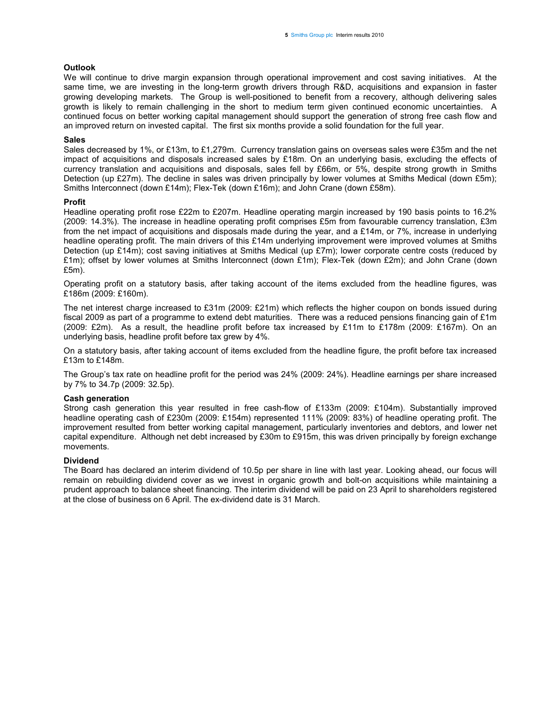# **Outlook**

We will continue to drive margin expansion through operational improvement and cost saving initiatives. At the same time, we are investing in the long-term growth drivers through R&D, acquisitions and expansion in faster growing developing markets. The Group is well-positioned to benefit from a recovery, although delivering sales growth is likely to remain challenging in the short to medium term given continued economic uncertainties. A continued focus on better working capital management should support the generation of strong free cash flow and an improved return on invested capital. The first six months provide a solid foundation for the full year.

# **Sales**

Sales decreased by 1%, or £13m, to £1,279m. Currency translation gains on overseas sales were £35m and the net impact of acquisitions and disposals increased sales by £18m. On an underlying basis, excluding the effects of currency translation and acquisitions and disposals, sales fell by £66m, or 5%, despite strong growth in Smiths Detection (up £27m). The decline in sales was driven principally by lower volumes at Smiths Medical (down £5m); Smiths Interconnect (down £14m); Flex-Tek (down £16m); and John Crane (down £58m).

# **Profit**

Headline operating profit rose £22m to £207m. Headline operating margin increased by 190 basis points to 16.2% (2009: 14.3%). The increase in headline operating profit comprises £5m from favourable currency translation, £3m from the net impact of acquisitions and disposals made during the year, and a £14m, or 7%, increase in underlying headline operating profit. The main drivers of this £14m underlying improvement were improved volumes at Smiths Detection (up £14m); cost saving initiatives at Smiths Medical (up £7m); lower corporate centre costs (reduced by £1m); offset by lower volumes at Smiths Interconnect (down £1m); Flex-Tek (down £2m); and John Crane (down £5m).

Operating profit on a statutory basis, after taking account of the items excluded from the headline figures, was £186m (2009: £160m).

The net interest charge increased to £31m (2009: £21m) which reflects the higher coupon on bonds issued during fiscal 2009 as part of a programme to extend debt maturities. There was a reduced pensions financing gain of £1m (2009: £2m). As a result, the headline profit before tax increased by £11m to £178m (2009: £167m). On an underlying basis, headline profit before tax grew by 4%.

On a statutory basis, after taking account of items excluded from the headline figure, the profit before tax increased £13m to £148m.

The Group's tax rate on headline profit for the period was 24% (2009: 24%). Headline earnings per share increased by 7% to 34.7p (2009: 32.5p).

# **Cash generation**

Strong cash generation this year resulted in free cash-flow of £133m (2009: £104m). Substantially improved headline operating cash of £230m (2009: £154m) represented 111% (2009: 83%) of headline operating profit. The improvement resulted from better working capital management, particularly inventories and debtors, and lower net capital expenditure. Although net debt increased by £30m to £915m, this was driven principally by foreign exchange movements.

# **Dividend**

The Board has declared an interim dividend of 10.5p per share in line with last year. Looking ahead, our focus will remain on rebuilding dividend cover as we invest in organic growth and bolt-on acquisitions while maintaining a prudent approach to balance sheet financing. The interim dividend will be paid on 23 April to shareholders registered at the close of business on 6 April. The ex-dividend date is 31 March.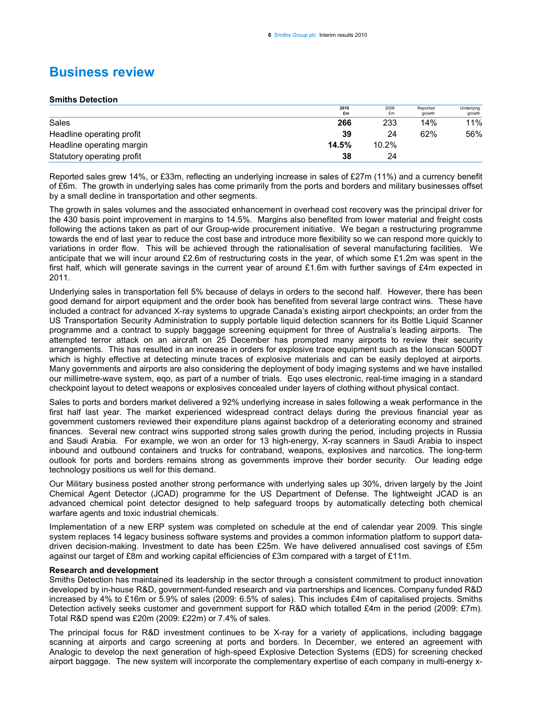# **Business review**

# **Smiths Detection**

|                            | 2010  | 2009  | Reported | Underlying |
|----------------------------|-------|-------|----------|------------|
|                            | £m    | £m    | arowth   | growth     |
| Sales                      | 266   | 233   | 14%      | 11%        |
| Headline operating profit  | 39    | 24    | 62%      | 56%        |
| Headline operating margin  | 14.5% | 10.2% |          |            |
| Statutory operating profit | 38    | 24    |          |            |

Reported sales grew 14%, or £33m, reflecting an underlying increase in sales of £27m (11%) and a currency benefit of £6m. The growth in underlying sales has come primarily from the ports and borders and military businesses offset by a small decline in transportation and other segments.

The growth in sales volumes and the associated enhancement in overhead cost recovery was the principal driver for the 430 basis point improvement in margins to 14.5%. Margins also benefited from lower material and freight costs following the actions taken as part of our Group-wide procurement initiative. We began a restructuring programme towards the end of last year to reduce the cost base and introduce more flexibility so we can respond more quickly to variations in order flow. This will be achieved through the rationalisation of several manufacturing facilities. We anticipate that we will incur around £2.6m of restructuring costs in the year, of which some £1.2m was spent in the first half, which will generate savings in the current year of around £1.6m with further savings of £4m expected in 2011.

Underlying sales in transportation fell 5% because of delays in orders to the second half. However, there has been good demand for airport equipment and the order book has benefited from several large contract wins. These have included a contract for advanced X-ray systems to upgrade Canada's existing airport checkpoints; an order from the US Transportation Security Administration to supply portable liquid detection scanners for its Bottle Liquid Scanner programme and a contract to supply baggage screening equipment for three of Australia's leading airports. The attempted terror attack on an aircraft on 25 December has prompted many airports to review their security arrangements. This has resulted in an increase in orders for explosive trace equipment such as the Ionscan 500DT which is highly effective at detecting minute traces of explosive materials and can be easily deployed at airports. Many governments and airports are also considering the deployment of body imaging systems and we have installed our millimetre-wave system, eqo, as part of a number of trials. Eqo uses electronic, real-time imaging in a standard checkpoint layout to detect weapons or explosives concealed under layers of clothing without physical contact.

Sales to ports and borders market delivered a 92% underlying increase in sales following a weak performance in the first half last year. The market experienced widespread contract delays during the previous financial year as government customers reviewed their expenditure plans against backdrop of a deteriorating economy and strained finances. Several new contract wins supported strong sales growth during the period, including projects in Russia and Saudi Arabia. For example, we won an order for 13 high-energy, X-ray scanners in Saudi Arabia to inspect inbound and outbound containers and trucks for contraband, weapons, explosives and narcotics. The long-term outlook for ports and borders remains strong as governments improve their border security. Our leading edge technology positions us well for this demand.

Our Military business posted another strong performance with underlying sales up 30%, driven largely by the Joint Chemical Agent Detector (JCAD) programme for the US Department of Defense. The lightweight JCAD is an advanced chemical point detector designed to help safeguard troops by automatically detecting both chemical warfare agents and toxic industrial chemicals.

Implementation of a new ERP system was completed on schedule at the end of calendar year 2009. This single system replaces 14 legacy business software systems and provides a common information platform to support datadriven decision-making. Investment to date has been £25m. We have delivered annualised cost savings of £5m against our target of £8m and working capital efficiencies of £3m compared with a target of £11m.

# **Research and development**

Smiths Detection has maintained its leadership in the sector through a consistent commitment to product innovation developed by in-house R&D, government-funded research and via partnerships and licences. Company funded R&D increased by 4% to £16m or 5.9% of sales (2009: 6.5% of sales). This includes £4m of capitalised projects. Smiths Detection actively seeks customer and government support for R&D which totalled £4m in the period (2009: £7m). Total R&D spend was £20m (2009: £22m) or 7.4% of sales.

The principal focus for R&D investment continues to be X-ray for a variety of applications, including baggage scanning at airports and cargo screening at ports and borders. In December, we entered an agreement with Analogic to develop the next generation of high-speed Explosive Detection Systems (EDS) for screening checked airport baggage. The new system will incorporate the complementary expertise of each company in multi-energy x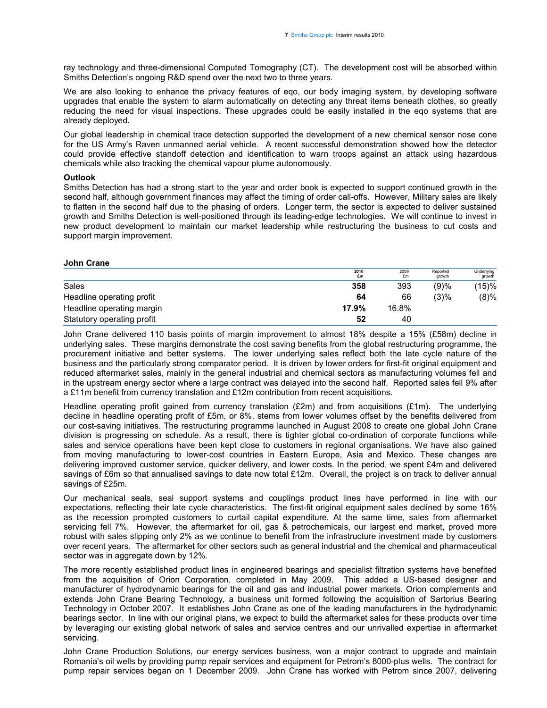ray technology and three-dimensional Computed Tomography (CT). The development cost will be absorbed within Smiths Detection's ongoing R&D spend over the next two to three years.

We are also looking to enhance the privacy features of eqo, our body imaging system, by developing software upgrades that enable the system to alarm automatically on detecting any threat items beneath clothes, so greatly reducing the need for visual inspections. These upgrades could be easily installed in the eqo systems that are already deployed.

Our global leadership in chemical trace detection supported the development of a new chemical sensor nose cone for the US Army's Raven unmanned aerial vehicle. A recent successful demonstration showed how the detector could provide effective standoff detection and identification to warn troops against an attack using hazardous chemicals while also tracking the chemical vapour plume autonomously.

# **Outlook**

Smiths Detection has had a strong start to the year and order book is expected to support continued growth in the second half, although government finances may affect the timing of order call-offs. However, Military sales are likely to flatten in the second half due to the phasing of orders. Longer term, the sector is expected to deliver sustained growth and Smiths Detection is well-positioned through its leading-edge technologies. We will continue to invest in new product development to maintain our market leadership while restructuring the business to cut costs and support margin improvement.

# **John Crane**

|                            | 2010<br>£m | 2009<br>£m | Reported<br>growth | Underlying<br>growth |
|----------------------------|------------|------------|--------------------|----------------------|
| Sales                      | 358        | 393        | (9)%               | (15)%                |
| Headline operating profit  | 64         | 66         | (3)%               | (8)%                 |
| Headline operating margin  | 17.9%      | 16.8%      |                    |                      |
| Statutory operating profit | 52         | 40         |                    |                      |

John Crane delivered 110 basis points of margin improvement to almost 18% despite a 15% (£58m) decline in underlying sales. These margins demonstrate the cost saving benefits from the global restructuring programme, the procurement initiative and better systems. The lower underlying sales reflect both the late cycle nature of the business and the particularly strong comparator period. It is driven by lower orders for first-fit original equipment and reduced aftermarket sales, mainly in the general industrial and chemical sectors as manufacturing volumes fell and in the upstream energy sector where a large contract was delayed into the second half. Reported sales fell 9% after a £11m benefit from currency translation and £12m contribution from recent acquisitions.

Headline operating profit gained from currency translation (£2m) and from acquisitions (£1m). The underlying decline in headline operating profit of £5m, or 8%, stems from lower volumes offset by the benefits delivered from our cost-saving initiatives. The restructuring programme launched in August 2008 to create one global John Crane division is progressing on schedule. As a result, there is tighter global co-ordination of corporate functions while sales and service operations have been kept close to customers in regional organisations. We have also gained from moving manufacturing to lower-cost countries in Eastern Europe, Asia and Mexico. These changes are delivering improved customer service, quicker delivery, and lower costs. In the period, we spent £4m and delivered savings of £6m so that annualised savings to date now total £12m. Overall, the project is on track to deliver annual savings of £25m.

Our mechanical seals, seal support systems and couplings product lines have performed in line with our expectations, reflecting their late cycle characteristics. The first-fit original equipment sales declined by some 16% as the recession prompted customers to curtail capital expenditure. At the same time, sales from aftermarket servicing fell 7%. However, the aftermarket for oil, gas & petrochemicals, our largest end market, proved more robust with sales slipping only 2% as we continue to benefit from the infrastructure investment made by customers over recent years. The aftermarket for other sectors such as general industrial and the chemical and pharmaceutical sector was in aggregate down by 12%.

The more recently established product lines in engineered bearings and specialist filtration systems have benefited from the acquisition of Orion Corporation, completed in May 2009. This added a US-based designer and manufacturer of hydrodynamic bearings for the oil and gas and industrial power markets. Orion complements and extends John Crane Bearing Technology, a business unit formed following the acquisition of Sartorius Bearing Technology in October 2007. It establishes John Crane as one of the leading manufacturers in the hydrodynamic bearings sector. In line with our original plans, we expect to build the aftermarket sales for these products over time by leveraging our existing global network of sales and service centres and our unrivalled expertise in aftermarket servicing.

John Crane Production Solutions, our energy services business, won a major contract to upgrade and maintain Romania's oil wells by providing pump repair services and equipment for Petrom's 8000-plus wells. The contract for pump repair services began on 1 December 2009. John Crane has worked with Petrom since 2007, delivering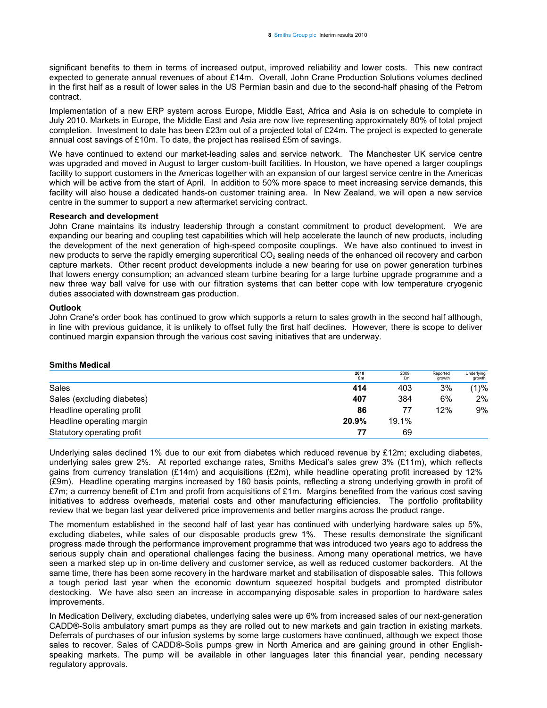significant benefits to them in terms of increased output, improved reliability and lower costs. This new contract expected to generate annual revenues of about £14m. Overall, John Crane Production Solutions volumes declined in the first half as a result of lower sales in the US Permian basin and due to the second-half phasing of the Petrom contract.

Implementation of a new ERP system across Europe, Middle East, Africa and Asia is on schedule to complete in July 2010. Markets in Europe, the Middle East and Asia are now live representing approximately 80% of total project completion. Investment to date has been £23m out of a projected total of £24m. The project is expected to generate annual cost savings of £10m. To date, the project has realised £5m of savings.

We have continued to extend our market-leading sales and service network. The Manchester UK service centre was upgraded and moved in August to larger custom-built facilities. In Houston, we have opened a larger couplings facility to support customers in the Americas together with an expansion of our largest service centre in the Americas which will be active from the start of April. In addition to 50% more space to meet increasing service demands, this facility will also house a dedicated hands-on customer training area. In New Zealand, we will open a new service centre in the summer to support a new aftermarket servicing contract.

# **Research and development**

John Crane maintains its industry leadership through a constant commitment to product development. We are expanding our bearing and coupling test capabilities which will help accelerate the launch of new products, including the development of the next generation of high-speed composite couplings. We have also continued to invest in new products to serve the rapidly emerging supercritical  $CO<sub>2</sub>$  sealing needs of the enhanced oil recovery and carbon capture markets. Other recent product developments include a new bearing for use on power generation turbines that lowers energy consumption; an advanced steam turbine bearing for a large turbine upgrade programme and a new three way ball valve for use with our filtration systems that can better cope with low temperature cryogenic duties associated with downstream gas production.

# **Outlook**

John Crane's order book has continued to grow which supports a return to sales growth in the second half although, in line with previous guidance, it is unlikely to offset fully the first half declines. However, there is scope to deliver continued margin expansion through the various cost saving initiatives that are underway.

| <b>Smiths Medical</b>      |            |            |                    |                      |
|----------------------------|------------|------------|--------------------|----------------------|
|                            | 2010<br>£m | 2009<br>£m | Reported<br>growth | Underlying<br>growth |
| Sales                      | 414        | 403        | 3%                 | (1)%                 |
| Sales (excluding diabetes) | 407        | 384        | 6%                 | 2%                   |
| Headline operating profit  | 86         |            | 12%                | 9%                   |
| Headline operating margin  | 20.9%      | 19.1%      |                    |                      |
| Statutory operating profit | 77         | 69         |                    |                      |

Underlying sales declined 1% due to our exit from diabetes which reduced revenue by £12m; excluding diabetes, underlying sales grew 2%. At reported exchange rates, Smiths Medical's sales grew 3% (£11m), which reflects gains from currency translation (£14m) and acquisitions (£2m), while headline operating profit increased by 12% (£9m). Headline operating margins increased by 180 basis points, reflecting a strong underlying growth in profit of £7m; a currency benefit of £1m and profit from acquisitions of £1m. Margins benefited from the various cost saving initiatives to address overheads, material costs and other manufacturing efficiencies. The portfolio profitability review that we began last year delivered price improvements and better margins across the product range.

The momentum established in the second half of last year has continued with underlying hardware sales up 5%, excluding diabetes, while sales of our disposable products grew 1%. These results demonstrate the significant progress made through the performance improvement programme that was introduced two years ago to address the serious supply chain and operational challenges facing the business. Among many operational metrics, we have seen a marked step up in on-time delivery and customer service, as well as reduced customer backorders. At the same time, there has been some recovery in the hardware market and stabilisation of disposable sales. This follows a tough period last year when the economic downturn squeezed hospital budgets and prompted distributor destocking. We have also seen an increase in accompanying disposable sales in proportion to hardware sales improvements.

In Medication Delivery, excluding diabetes, underlying sales were up 6% from increased sales of our next-generation CADD®-Solis ambulatory smart pumps as they are rolled out to new markets and gain traction in existing markets. Deferrals of purchases of our infusion systems by some large customers have continued, although we expect those sales to recover. Sales of CADD®-Solis pumps grew in North America and are gaining ground in other Englishspeaking markets. The pump will be available in other languages later this financial year, pending necessary regulatory approvals.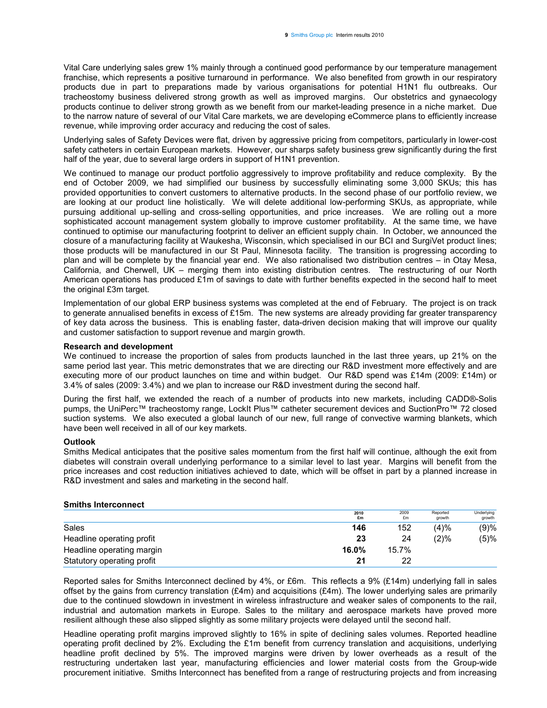Vital Care underlying sales grew 1% mainly through a continued good performance by our temperature management franchise, which represents a positive turnaround in performance. We also benefited from growth in our respiratory products due in part to preparations made by various organisations for potential H1N1 flu outbreaks. Our tracheostomy business delivered strong growth as well as improved margins. Our obstetrics and gynaecology products continue to deliver strong growth as we benefit from our market-leading presence in a niche market. Due to the narrow nature of several of our Vital Care markets, we are developing eCommerce plans to efficiently increase revenue, while improving order accuracy and reducing the cost of sales.

Underlying sales of Safety Devices were flat, driven by aggressive pricing from competitors, particularly in lower-cost safety catheters in certain European markets. However, our sharps safety business grew significantly during the first half of the year, due to several large orders in support of H1N1 prevention.

We continued to manage our product portfolio aggressively to improve profitability and reduce complexity. By the end of October 2009, we had simplified our business by successfully eliminating some 3,000 SKUs; this has provided opportunities to convert customers to alternative products. In the second phase of our portfolio review, we are looking at our product line holistically. We will delete additional low-performing SKUs, as appropriate, while pursuing additional up-selling and cross-selling opportunities, and price increases. We are rolling out a more sophisticated account management system globally to improve customer profitability. At the same time, we have continued to optimise our manufacturing footprint to deliver an efficient supply chain. In October, we announced the closure of a manufacturing facility at Waukesha, Wisconsin, which specialised in our BCI and SurgiVet product lines; those products will be manufactured in our St Paul, Minnesota facility. The transition is progressing according to plan and will be complete by the financial year end. We also rationalised two distribution centres – in Otay Mesa, California, and Cherwell, UK – merging them into existing distribution centres. The restructuring of our North American operations has produced £1m of savings to date with further benefits expected in the second half to meet the original £3m target.

Implementation of our global ERP business systems was completed at the end of February. The project is on track to generate annualised benefits in excess of £15m. The new systems are already providing far greater transparency of key data across the business. This is enabling faster, data-driven decision making that will improve our quality and customer satisfaction to support revenue and margin growth.

# **Research and development**

We continued to increase the proportion of sales from products launched in the last three years, up 21% on the same period last year. This metric demonstrates that we are directing our R&D investment more effectively and are executing more of our product launches on time and within budget. Our R&D spend was £14m (2009: £14m) or 3.4% of sales (2009: 3.4%) and we plan to increase our R&D investment during the second half.

During the first half, we extended the reach of a number of products into new markets, including CADD®-Solis pumps, the UniPerc™ tracheostomy range, LockIt Plus™ catheter securement devices and SuctionPro™ 72 closed suction systems. We also executed a global launch of our new, full range of convective warming blankets, which have been well received in all of our key markets.

# **Outlook**

Smiths Medical anticipates that the positive sales momentum from the first half will continue, although the exit from diabetes will constrain overall underlying performance to a similar level to last year. Margins will benefit from the price increases and cost reduction initiatives achieved to date, which will be offset in part by a planned increase in R&D investment and sales and marketing in the second half.

# **Smiths Interconnect**

|                            | 2010<br>£m | 2009<br>£m | Reported<br>arowth | Underlying<br>growth |
|----------------------------|------------|------------|--------------------|----------------------|
| Sales                      | 146        | 152        | (4)%               | (9)%                 |
| Headline operating profit  | 23         | 24         | (2)%               | (5)%                 |
| Headline operating margin  | $16.0\%$   | 15.7%      |                    |                      |
| Statutory operating profit | 21         | 22         |                    |                      |

Reported sales for Smiths Interconnect declined by 4%, or £6m. This reflects a 9% (£14m) underlying fall in sales offset by the gains from currency translation  $(E4m)$  and acquisitions  $(E4m)$ . The lower underlying sales are primarily due to the continued slowdown in investment in wireless infrastructure and weaker sales of components to the rail, industrial and automation markets in Europe. Sales to the military and aerospace markets have proved more resilient although these also slipped slightly as some military projects were delayed until the second half.

Headline operating profit margins improved slightly to 16% in spite of declining sales volumes. Reported headline operating profit declined by 2%. Excluding the £1m benefit from currency translation and acquisitions, underlying headline profit declined by 5%. The improved margins were driven by lower overheads as a result of the restructuring undertaken last year, manufacturing efficiencies and lower material costs from the Group-wide procurement initiative. Smiths Interconnect has benefited from a range of restructuring projects and from increasing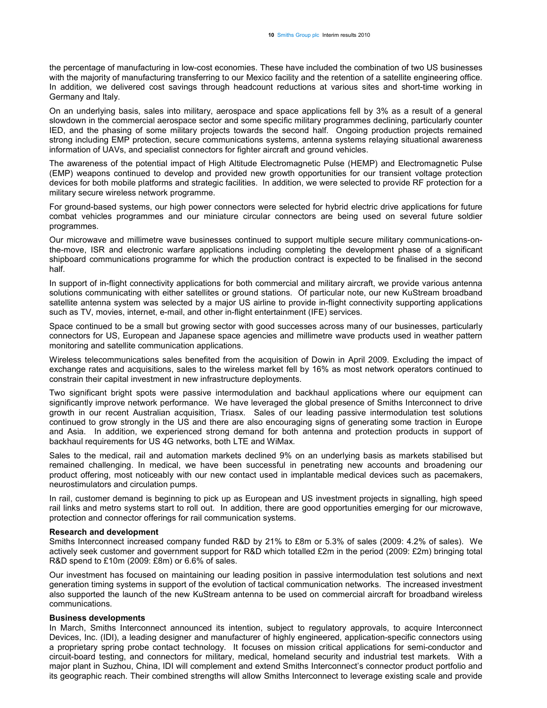the percentage of manufacturing in low-cost economies. These have included the combination of two US businesses with the majority of manufacturing transferring to our Mexico facility and the retention of a satellite engineering office. In addition, we delivered cost savings through headcount reductions at various sites and short-time working in Germany and Italy.

On an underlying basis, sales into military, aerospace and space applications fell by 3% as a result of a general slowdown in the commercial aerospace sector and some specific military programmes declining, particularly counter IED, and the phasing of some military projects towards the second half. Ongoing production projects remained strong including EMP protection, secure communications systems, antenna systems relaying situational awareness information of UAVs, and specialist connectors for fighter aircraft and ground vehicles.

The awareness of the potential impact of High Altitude Electromagnetic Pulse (HEMP) and Electromagnetic Pulse (EMP) weapons continued to develop and provided new growth opportunities for our transient voltage protection devices for both mobile platforms and strategic facilities. In addition, we were selected to provide RF protection for a military secure wireless network programme.

For ground-based systems, our high power connectors were selected for hybrid electric drive applications for future combat vehicles programmes and our miniature circular connectors are being used on several future soldier programmes.

Our microwave and millimetre wave businesses continued to support multiple secure military communications-onthe-move, ISR and electronic warfare applications including completing the development phase of a significant shipboard communications programme for which the production contract is expected to be finalised in the second half.

In support of in-flight connectivity applications for both commercial and military aircraft, we provide various antenna solutions communicating with either satellites or ground stations. Of particular note, our new KuStream broadband satellite antenna system was selected by a major US airline to provide in-flight connectivity supporting applications such as TV, movies, internet, e-mail, and other in-flight entertainment (IFE) services.

Space continued to be a small but growing sector with good successes across many of our businesses, particularly connectors for US, European and Japanese space agencies and millimetre wave products used in weather pattern monitoring and satellite communication applications.

Wireless telecommunications sales benefited from the acquisition of Dowin in April 2009. Excluding the impact of exchange rates and acquisitions, sales to the wireless market fell by 16% as most network operators continued to constrain their capital investment in new infrastructure deployments.

Two significant bright spots were passive intermodulation and backhaul applications where our equipment can significantly improve network performance. We have leveraged the global presence of Smiths Interconnect to drive growth in our recent Australian acquisition, Triasx. Sales of our leading passive intermodulation test solutions continued to grow strongly in the US and there are also encouraging signs of generating some traction in Europe and Asia. In addition, we experienced strong demand for both antenna and protection products in support of backhaul requirements for US 4G networks, both LTE and WiMax.

Sales to the medical, rail and automation markets declined 9% on an underlying basis as markets stabilised but remained challenging. In medical, we have been successful in penetrating new accounts and broadening our product offering, most noticeably with our new contact used in implantable medical devices such as pacemakers, neurostimulators and circulation pumps.

In rail, customer demand is beginning to pick up as European and US investment projects in signalling, high speed rail links and metro systems start to roll out. In addition, there are good opportunities emerging for our microwave, protection and connector offerings for rail communication systems.

# **Research and development**

Smiths Interconnect increased company funded R&D by 21% to £8m or 5.3% of sales (2009: 4.2% of sales). We actively seek customer and government support for R&D which totalled £2m in the period (2009: £2m) bringing total R&D spend to £10m (2009: £8m) or 6.6% of sales.

Our investment has focused on maintaining our leading position in passive intermodulation test solutions and next generation timing systems in support of the evolution of tactical communication networks. The increased investment also supported the launch of the new KuStream antenna to be used on commercial aircraft for broadband wireless communications.

# **Business developments**

In March, Smiths Interconnect announced its intention, subject to regulatory approvals, to acquire Interconnect Devices, Inc. (IDI), a leading designer and manufacturer of highly engineered, application-specific connectors using a proprietary spring probe contact technology. It focuses on mission critical applications for semi-conductor and circuit-board testing, and connectors for military, medical, homeland security and industrial test markets. With a major plant in Suzhou, China, IDI will complement and extend Smiths Interconnect's connector product portfolio and its geographic reach. Their combined strengths will allow Smiths Interconnect to leverage existing scale and provide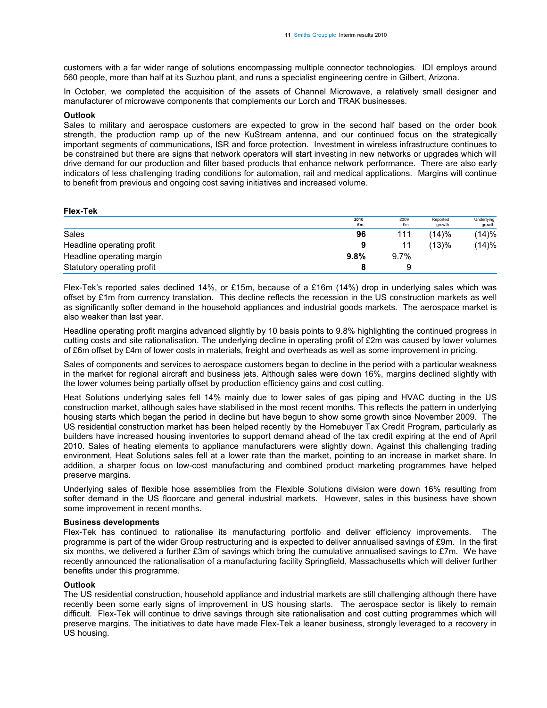customers with a far wider range of solutions encompassing multiple connector technologies. IDI employs around 560 people, more than half at its Suzhou plant, and runs a specialist engineering centre in Gilbert, Arizona.

In October, we completed the acquisition of the assets of Channel Microwave, a relatively small designer and manufacturer of microwave components that complements our Lorch and TRAK businesses.

## **Outlook**

Sales to military and aerospace customers are expected to grow in the second half based on the order book strength, the production ramp up of the new KuStream antenna, and our continued focus on the strategically important segments of communications, ISR and force protection. Investment in wireless infrastructure continues to be constrained but there are signs that network operators will start investing in new networks or upgrades which will drive demand for our production and filter based products that enhance network performance. There are also early indicators of less challenging trading conditions for automation, rail and medical applications. Margins will continue to benefit from previous and ongoing cost saving initiatives and increased volume.

# **Flex-Tek**

|                            | 2010<br>£m | 2009<br>£m | Reported<br>growth | Underlying<br>growth |
|----------------------------|------------|------------|--------------------|----------------------|
| Sales                      | 96         | 111        | (14)%              | (14)%                |
| Headline operating profit  |            |            | (13)%              | (14)%                |
| Headline operating margin  | $9.8\%$    | $9.7\%$    |                    |                      |
| Statutory operating profit |            |            |                    |                      |

Flex-Tek's reported sales declined 14%, or £15m, because of a £16m (14%) drop in underlying sales which was offset by £1m from currency translation. This decline reflects the recession in the US construction markets as well as significantly softer demand in the household appliances and industrial goods markets. The aerospace market is also weaker than last year.

Headline operating profit margins advanced slightly by 10 basis points to 9.8% highlighting the continued progress in cutting costs and site rationalisation. The underlying decline in operating profit of £2m was caused by lower volumes of £6m offset by £4m of lower costs in materials, freight and overheads as well as some improvement in pricing.

Sales of components and services to aerospace customers began to decline in the period with a particular weakness in the market for regional aircraft and business jets. Although sales were down 16%, margins declined slightly with the lower volumes being partially offset by production efficiency gains and cost cutting.

Heat Solutions underlying sales fell 14% mainly due to lower sales of gas piping and HVAC ducting in the US construction market, although sales have stabilised in the most recent months. This reflects the pattern in underlying housing starts which began the period in decline but have begun to show some growth since November 2009. The US residential construction market has been helped recently by the Homebuyer Tax Credit Program, particularly as builders have increased housing inventories to support demand ahead of the tax credit expiring at the end of April 2010. Sales of heating elements to appliance manufacturers were slightly down. Against this challenging trading environment, Heat Solutions sales fell at a lower rate than the market, pointing to an increase in market share. In addition, a sharper focus on low-cost manufacturing and combined product marketing programmes have helped preserve margins.

Underlying sales of flexible hose assemblies from the Flexible Solutions division were down 16% resulting from softer demand in the US floorcare and general industrial markets. However, sales in this business have shown some improvement in recent months.

# **Business developments**

Flex-Tek has continued to rationalise its manufacturing portfolio and deliver efficiency improvements. The programme is part of the wider Group restructuring and is expected to deliver annualised savings of £9m. In the first six months, we delivered a further £3m of savings which bring the cumulative annualised savings to £7m. We have recently announced the rationalisation of a manufacturing facility Springfield, Massachusetts which will deliver further benefits under this programme.

# **Outlook**

The US residential construction, household appliance and industrial markets are still challenging although there have recently been some early signs of improvement in US housing starts. The aerospace sector is likely to remain difficult. Flex-Tek will continue to drive savings through site rationalisation and cost cutting programmes which will preserve margins. The initiatives to date have made Flex-Tek a leaner business, strongly leveraged to a recovery in US housing.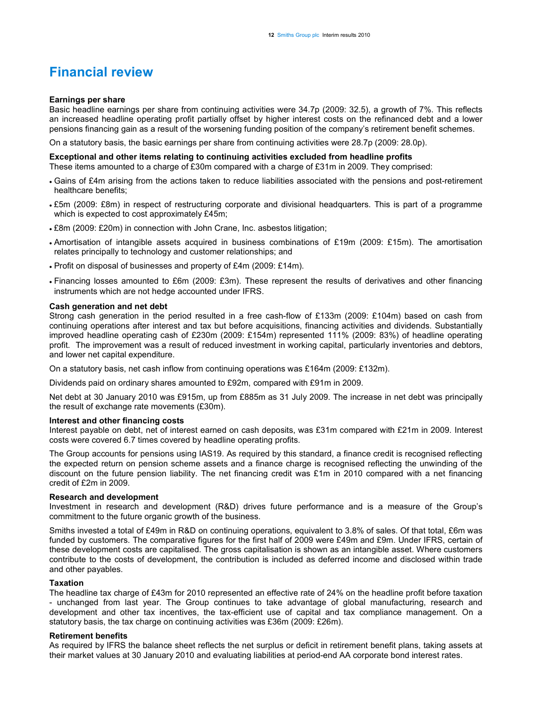# **Financial review**

# **Earnings per share**

Basic headline earnings per share from continuing activities were 34.7p (2009: 32.5), a growth of 7%. This reflects an increased headline operating profit partially offset by higher interest costs on the refinanced debt and a lower pensions financing gain as a result of the worsening funding position of the company's retirement benefit schemes.

On a statutory basis, the basic earnings per share from continuing activities were 28.7p (2009: 28.0p).

# **Exceptional and other items relating to continuing activities excluded from headline profits**

These items amounted to a charge of £30m compared with a charge of £31m in 2009. They comprised:

- Gains of £4m arising from the actions taken to reduce liabilities associated with the pensions and post-retirement healthcare benefits;
- £5m (2009: £8m) in respect of restructuring corporate and divisional headquarters. This is part of a programme which is expected to cost approximately £45m;
- £8m (2009: £20m) in connection with John Crane, Inc. asbestos litigation;
- Amortisation of intangible assets acquired in business combinations of £19m (2009: £15m). The amortisation relates principally to technology and customer relationships; and
- Profit on disposal of businesses and property of £4m (2009: £14m).
- Financing losses amounted to £6m (2009: £3m). These represent the results of derivatives and other financing instruments which are not hedge accounted under IFRS.

# **Cash generation and net debt**

Strong cash generation in the period resulted in a free cash-flow of £133m (2009: £104m) based on cash from continuing operations after interest and tax but before acquisitions, financing activities and dividends. Substantially improved headline operating cash of £230m (2009: £154m) represented 111% (2009: 83%) of headline operating profit. The improvement was a result of reduced investment in working capital, particularly inventories and debtors, and lower net capital expenditure.

On a statutory basis, net cash inflow from continuing operations was £164m (2009: £132m).

Dividends paid on ordinary shares amounted to £92m, compared with £91m in 2009.

Net debt at 30 January 2010 was £915m, up from £885m as 31 July 2009. The increase in net debt was principally the result of exchange rate movements (£30m).

# **Interest and other financing costs**

Interest payable on debt, net of interest earned on cash deposits, was £31m compared with £21m in 2009. Interest costs were covered 6.7 times covered by headline operating profits.

The Group accounts for pensions using IAS19. As required by this standard, a finance credit is recognised reflecting the expected return on pension scheme assets and a finance charge is recognised reflecting the unwinding of the discount on the future pension liability. The net financing credit was £1m in 2010 compared with a net financing credit of £2m in 2009.

# **Research and development**

Investment in research and development (R&D) drives future performance and is a measure of the Group's commitment to the future organic growth of the business.

Smiths invested a total of £49m in R&D on continuing operations, equivalent to 3.8% of sales. Of that total, £6m was funded by customers. The comparative figures for the first half of 2009 were £49m and £9m. Under IFRS, certain of these development costs are capitalised. The gross capitalisation is shown as an intangible asset. Where customers contribute to the costs of development, the contribution is included as deferred income and disclosed within trade and other payables.

# **Taxation**

The headline tax charge of £43m for 2010 represented an effective rate of 24% on the headline profit before taxation - unchanged from last year. The Group continues to take advantage of global manufacturing, research and development and other tax incentives, the tax-efficient use of capital and tax compliance management. On a statutory basis, the tax charge on continuing activities was £36m (2009: £26m).

# **Retirement benefits**

As required by IFRS the balance sheet reflects the net surplus or deficit in retirement benefit plans, taking assets at their market values at 30 January 2010 and evaluating liabilities at period-end AA corporate bond interest rates.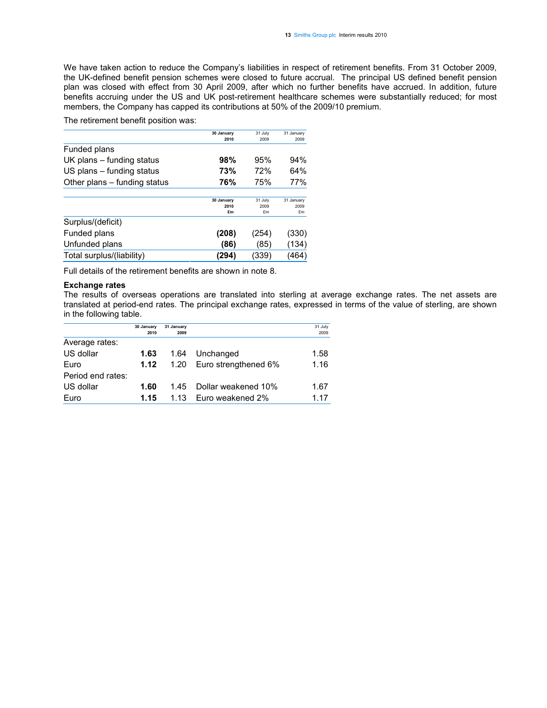We have taken action to reduce the Company's liabilities in respect of retirement benefits. From 31 October 2009, the UK-defined benefit pension schemes were closed to future accrual. The principal US defined benefit pension plan was closed with effect from 30 April 2009, after which no further benefits have accrued. In addition, future benefits accruing under the US and UK post-retirement healthcare schemes were substantially reduced; for most members, the Company has capped its contributions at 50% of the 2009/10 premium.

The retirement benefit position was:

|                              | 30 January<br>2010 | 31 July<br>2009 | 31 January<br>2009 |
|------------------------------|--------------------|-----------------|--------------------|
| Funded plans                 |                    |                 |                    |
| UK plans – funding status    | 98%                | 95%             | 94%                |
| US plans – funding status    | 73%                | 72%             | 64%                |
| Other plans – funding status | 76%                | 75%             | 77%                |
|                              | 30 January         | 31 July         | 31 January         |
|                              | 2010<br>£m         | 2009<br>£m      | 2009<br>£m         |
| Surplus/(deficit)            |                    |                 |                    |
| Funded plans                 | (208)              | (254)           | (330)              |
| Unfunded plans               | (86)               | (85)            | (134)              |
| Total surplus/(liability)    | (294)              | (339)           | (464)              |

Full details of the retirement benefits are shown in note 8.

# **Exchange rates**

The results of overseas operations are translated into sterling at average exchange rates. The net assets are translated at period-end rates. The principal exchange rates, expressed in terms of the value of sterling, are shown in the following table.

|                   | 30 January<br>2010 | 31 January<br>2009 |                      | 31 July<br>2009 |
|-------------------|--------------------|--------------------|----------------------|-----------------|
| Average rates:    |                    |                    |                      |                 |
| US dollar         | 1.63               | 1.64               | Unchanged            | 1.58            |
| Euro              | 1.12               | 1.20               | Euro strengthened 6% | 1.16            |
| Period end rates: |                    |                    |                      |                 |
| US dollar         | 1.60               | 1.45               | Dollar weakened 10%  | 1.67            |
| Euro              | 1.15               | 1.13               | Euro weakened 2%     | 1 17            |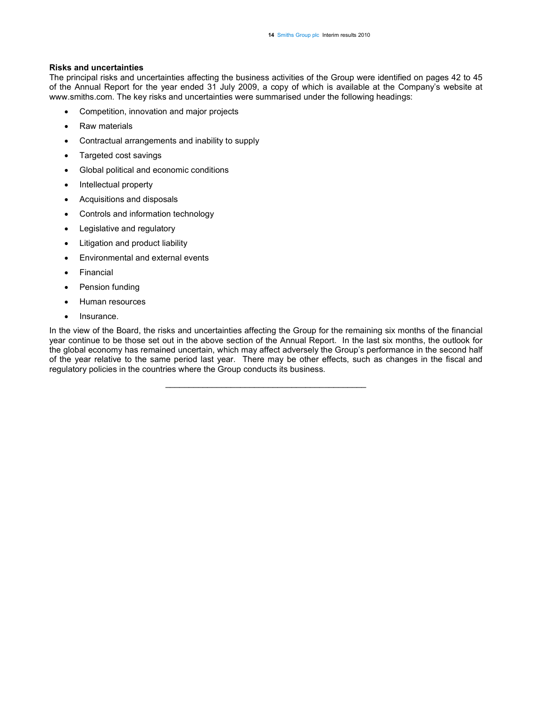# **Risks and uncertainties**

The principal risks and uncertainties affecting the business activities of the Group were identified on pages 42 to 45 of the Annual Report for the year ended 31 July 2009, a copy of which is available at the Company's website at www.smiths.com. The key risks and uncertainties were summarised under the following headings:

- Competition, innovation and major projects
- Raw materials
- Contractual arrangements and inability to supply
- Targeted cost savings
- Global political and economic conditions
- Intellectual property
- Acquisitions and disposals
- Controls and information technology
- Legislative and regulatory
- Litigation and product liability
- Environmental and external events
- **Financial**
- Pension funding
- Human resources
- Insurance.

In the view of the Board, the risks and uncertainties affecting the Group for the remaining six months of the financial year continue to be those set out in the above section of the Annual Report. In the last six months, the outlook for the global economy has remained uncertain, which may affect adversely the Group's performance in the second half of the year relative to the same period last year. There may be other effects, such as changes in the fiscal and regulatory policies in the countries where the Group conducts its business.

\_\_\_\_\_\_\_\_\_\_\_\_\_\_\_\_\_\_\_\_\_\_\_\_\_\_\_\_\_\_\_\_\_\_\_\_\_\_\_\_\_\_\_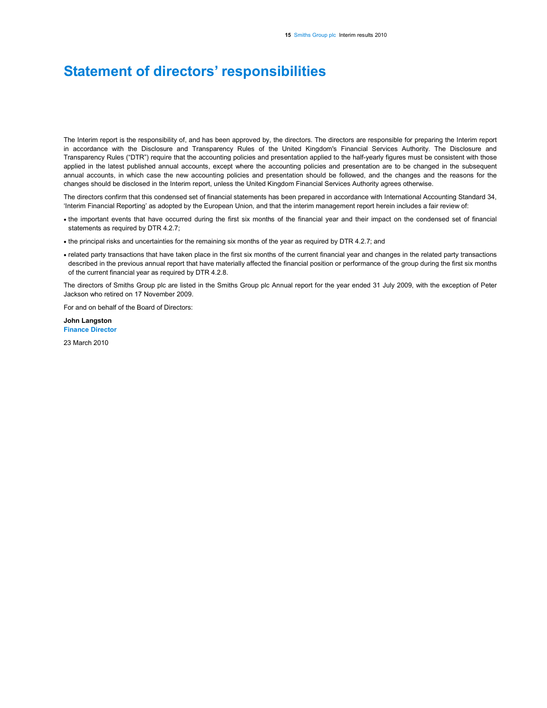# **Statement of directors' responsibilities**

The Interim report is the responsibility of, and has been approved by, the directors. The directors are responsible for preparing the Interim report in accordance with the Disclosure and Transparency Rules of the United Kingdom's Financial Services Authority. The Disclosure and Transparency Rules ("DTR") require that the accounting policies and presentation applied to the half-yearly figures must be consistent with those applied in the latest published annual accounts, except where the accounting policies and presentation are to be changed in the subsequent annual accounts, in which case the new accounting policies and presentation should be followed, and the changes and the reasons for the changes should be disclosed in the Interim report, unless the United Kingdom Financial Services Authority agrees otherwise.

The directors confirm that this condensed set of financial statements has been prepared in accordance with International Accounting Standard 34, 'Interim Financial Reporting' as adopted by the European Union, and that the interim management report herein includes a fair review of:

- the important events that have occurred during the first six months of the financial year and their impact on the condensed set of financial statements as required by DTR 4.2.7;
- the principal risks and uncertainties for the remaining six months of the year as required by DTR 4.2.7; and
- related party transactions that have taken place in the first six months of the current financial year and changes in the related party transactions described in the previous annual report that have materially affected the financial position or performance of the group during the first six months of the current financial year as required by DTR 4.2.8.

The directors of Smiths Group plc are listed in the Smiths Group plc Annual report for the year ended 31 July 2009, with the exception of Peter Jackson who retired on 17 November 2009.

For and on behalf of the Board of Directors:

**John Langston Finance Director** 

23 March 2010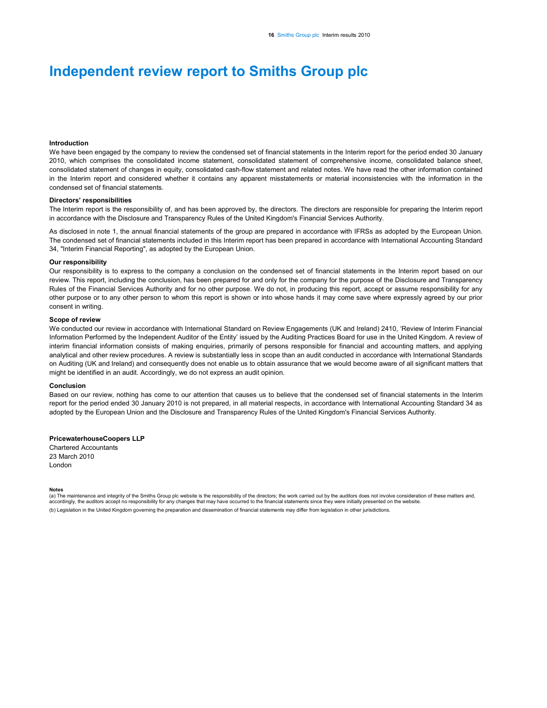# **Independent review report to Smiths Group plc**

#### **Introduction**

We have been engaged by the company to review the condensed set of financial statements in the Interim report for the period ended 30 January 2010, which comprises the consolidated income statement, consolidated statement of comprehensive income, consolidated balance sheet, consolidated statement of changes in equity, consolidated cash-flow statement and related notes. We have read the other information contained in the Interim report and considered whether it contains any apparent misstatements or material inconsistencies with the information in the condensed set of financial statements.

#### **Directors' responsibilities**

The Interim report is the responsibility of, and has been approved by, the directors. The directors are responsible for preparing the Interim report in accordance with the Disclosure and Transparency Rules of the United Kingdom's Financial Services Authority.

As disclosed in note 1, the annual financial statements of the group are prepared in accordance with IFRSs as adopted by the European Union. The condensed set of financial statements included in this Interim report has been prepared in accordance with International Accounting Standard 34, "Interim Financial Reporting", as adopted by the European Union.

#### **Our responsibility**

Our responsibility is to express to the company a conclusion on the condensed set of financial statements in the Interim report based on our review. This report, including the conclusion, has been prepared for and only for the company for the purpose of the Disclosure and Transparency Rules of the Financial Services Authority and for no other purpose. We do not, in producing this report, accept or assume responsibility for any other purpose or to any other person to whom this report is shown or into whose hands it may come save where expressly agreed by our prior consent in writing.

#### **Scope of review**

We conducted our review in accordance with International Standard on Review Engagements (UK and Ireland) 2410, 'Review of Interim Financial Information Performed by the Independent Auditor of the Entity' issued by the Auditing Practices Board for use in the United Kingdom. A review of interim financial information consists of making enquiries, primarily of persons responsible for financial and accounting matters, and applying analytical and other review procedures. A review is substantially less in scope than an audit conducted in accordance with International Standards on Auditing (UK and Ireland) and consequently does not enable us to obtain assurance that we would become aware of all significant matters that might be identified in an audit. Accordingly, we do not express an audit opinion.

#### **Conclusion**

Based on our review, nothing has come to our attention that causes us to believe that the condensed set of financial statements in the Interim report for the period ended 30 January 2010 is not prepared, in all material respects, in accordance with International Accounting Standard 34 as adopted by the European Union and the Disclosure and Transparency Rules of the United Kingdom's Financial Services Authority.

#### **PricewaterhouseCoopers LLP**

Chartered Accountants 23 March 2010 London

#### **Notes**

(a) The maintenance and integrity of the Smiths Group plc website is the responsibility of the directors; the work carried out by the auditors does not involve consideration of these matters and, accordingly, the auditors accept no responsibility for any changes that may have occurred to the financial statements since they were initially presented on the website. (b) Legislation in the United Kingdom governing the preparation and dissemination of financial statements may differ from legislation in other jurisdictions.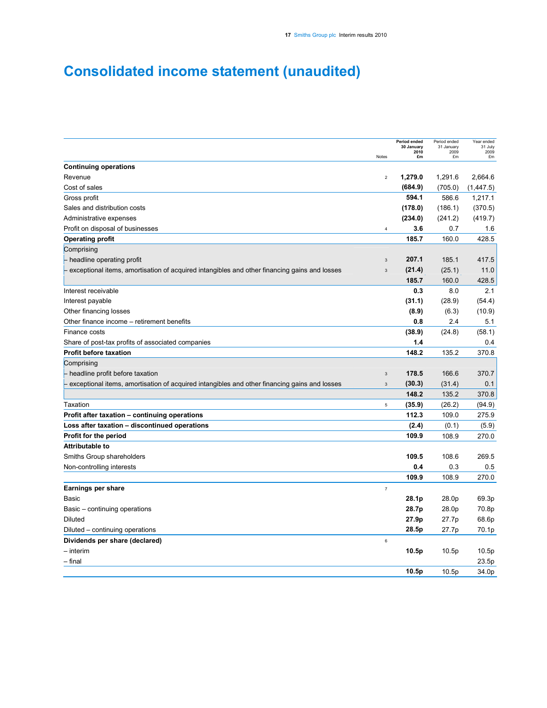# **Consolidated income statement (unaudited)**

|                                                                                              | Notes          | Period ended<br>30 January<br>2010<br>£m | Period ended<br>31 January<br>2009<br>£m | Year ended<br>31 July<br>2009<br>f <sub>m</sub> |
|----------------------------------------------------------------------------------------------|----------------|------------------------------------------|------------------------------------------|-------------------------------------------------|
| <b>Continuing operations</b>                                                                 |                |                                          |                                          |                                                 |
| Revenue                                                                                      | $\overline{2}$ | 1,279.0                                  | 1,291.6                                  | 2.664.6                                         |
| Cost of sales                                                                                |                | (684.9)                                  | (705.0)                                  | (1,447.5)                                       |
| Gross profit                                                                                 |                | 594.1                                    | 586.6                                    | 1,217.1                                         |
| Sales and distribution costs                                                                 |                | (178.0)                                  | (186.1)                                  | (370.5)                                         |
| Administrative expenses                                                                      |                | (234.0)                                  | (241.2)                                  | (419.7)                                         |
| Profit on disposal of businesses                                                             | $\overline{4}$ | 3.6                                      | 0.7                                      | 1.6                                             |
| <b>Operating profit</b>                                                                      |                | 185.7                                    | 160.0                                    | 428.5                                           |
| Comprising                                                                                   |                |                                          |                                          |                                                 |
| - headline operating profit                                                                  | 3              | 207.1                                    | 185.1                                    | 417.5                                           |
| exceptional items, amortisation of acquired intangibles and other financing gains and losses | $\overline{3}$ | (21.4)                                   | (25.1)                                   | 11.0                                            |
|                                                                                              |                | 185.7                                    | 160.0                                    | 428.5                                           |
| Interest receivable                                                                          |                | 0.3                                      | 8.0                                      | 2.1                                             |
| Interest payable                                                                             |                | (31.1)                                   | (28.9)                                   | (54.4)                                          |
| Other financing losses                                                                       |                | (8.9)                                    | (6.3)                                    | (10.9)                                          |
| Other finance income – retirement benefits                                                   |                | 0.8                                      | 2.4                                      | 5.1                                             |
| Finance costs                                                                                |                | (38.9)                                   | (24.8)                                   | (58.1)                                          |
| Share of post-tax profits of associated companies                                            |                | 1.4                                      |                                          | 0.4                                             |
| <b>Profit before taxation</b>                                                                |                | 148.2                                    | 135.2                                    | 370.8                                           |
| Comprising                                                                                   |                |                                          |                                          |                                                 |
| - headline profit before taxation                                                            | 3              | 178.5                                    | 166.6                                    | 370.7                                           |
| exceptional items, amortisation of acquired intangibles and other financing gains and losses | 3              | (30.3)                                   | (31.4)                                   | 0.1                                             |
|                                                                                              |                | 148.2                                    | 135.2                                    | 370.8                                           |
| Taxation                                                                                     | 5              | (35.9)                                   | (26.2)                                   | (94.9)                                          |
| Profit after taxation - continuing operations                                                |                | 112.3                                    | 109.0                                    | 275.9                                           |
| Loss after taxation - discontinued operations                                                |                | (2.4)                                    | (0.1)                                    | (5.9)                                           |
| Profit for the period                                                                        |                | 109.9                                    | 108.9                                    | 270.0                                           |
| Attributable to                                                                              |                |                                          |                                          |                                                 |
| Smiths Group shareholders                                                                    |                | 109.5                                    | 108.6                                    | 269.5                                           |
| Non-controlling interests                                                                    |                | 0.4                                      | 0.3                                      | 0.5                                             |
|                                                                                              |                | 109.9                                    | 108.9                                    | 270.0                                           |
| Earnings per share                                                                           | $\overline{7}$ |                                          |                                          |                                                 |
| Basic                                                                                        |                | 28.1p                                    | 28.0p                                    | 69.3p                                           |
| Basic - continuing operations                                                                |                | 28.7p                                    | 28.0p                                    | 70.8p                                           |
| <b>Diluted</b>                                                                               |                | 27.9p                                    | 27.7p                                    | 68.6p                                           |
| Diluted – continuing operations                                                              |                | 28.5p                                    | 27.7p                                    | 70.1p                                           |
| Dividends per share (declared)                                                               | 6              |                                          |                                          |                                                 |
| – interim                                                                                    |                | 10.5p                                    | 10.5p                                    | 10.5p                                           |
| – final                                                                                      |                |                                          |                                          | 23.5p                                           |
|                                                                                              |                | 10.5p                                    | 10.5p                                    | 34.0p                                           |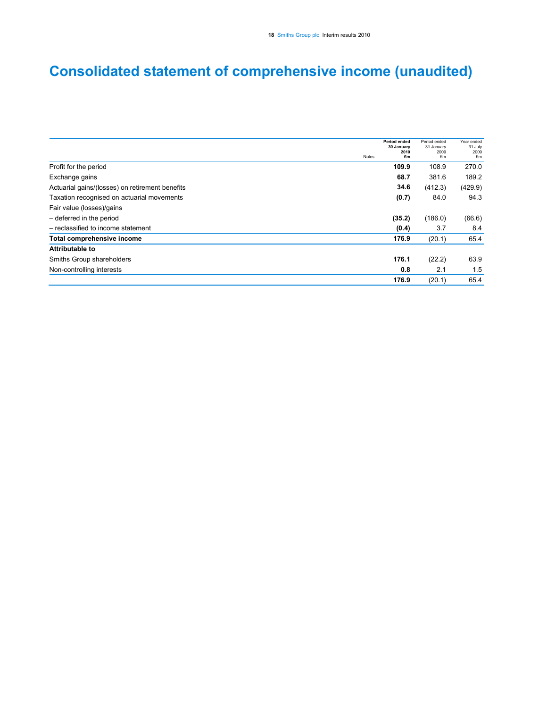# **Consolidated statement of comprehensive income (unaudited)**

|                                                 | Period ended<br>30 January<br>2010<br>Notes<br>£m | Period ended<br>31 January<br>2009<br>£m | Year ended<br>31 July<br>2009<br>£m |
|-------------------------------------------------|---------------------------------------------------|------------------------------------------|-------------------------------------|
| Profit for the period                           | 109.9                                             | 108.9                                    | 270.0                               |
| Exchange gains                                  | 68.7                                              | 381.6                                    | 189.2                               |
| Actuarial gains/(losses) on retirement benefits | 34.6                                              | (412.3)                                  | (429.9)                             |
| Taxation recognised on actuarial movements      | (0.7)                                             | 84.0                                     | 94.3                                |
| Fair value (losses)/gains                       |                                                   |                                          |                                     |
| - deferred in the period                        | (35.2)                                            | (186.0)                                  | (66.6)                              |
| - reclassified to income statement              | (0.4)                                             | 3.7                                      | 8.4                                 |
| Total comprehensive income                      | 176.9                                             | (20.1)                                   | 65.4                                |
| <b>Attributable to</b>                          |                                                   |                                          |                                     |
| Smiths Group shareholders                       | 176.1                                             | (22.2)                                   | 63.9                                |
| Non-controlling interests                       | 0.8                                               | 2.1                                      | 1.5                                 |
|                                                 | 176.9                                             | (20.1)                                   | 65.4                                |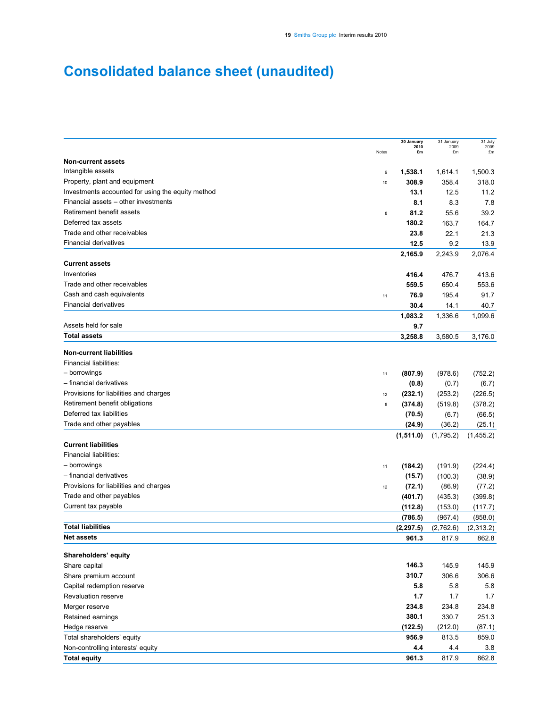# **Consolidated balance sheet (unaudited)**

| 31 July<br>30 January<br>31 January<br>2009<br>2010<br>2009<br>Notes<br>£m<br>£m<br>£m<br><b>Non-current assets</b><br>Intangible assets<br>1,538.1<br>1,614.1<br>1,500.3<br>9<br>Property, plant and equipment<br>308.9<br>358.4<br>318.0<br>10<br>Investments accounted for using the equity method<br>13.1<br>12.5<br>11.2<br>Financial assets - other investments<br>8.1<br>8.3<br>7.8<br>Retirement benefit assets<br>81.2<br>55.6<br>39.2<br>8<br>Deferred tax assets<br>180.2<br>163.7<br>164.7<br>Trade and other receivables<br>23.8<br>22.1<br>21.3<br><b>Financial derivatives</b><br>12.5<br>9.2<br>13.9<br>2,165.9<br>2,243.9<br>2,076.4<br><b>Current assets</b><br>Inventories<br>416.4<br>476.7<br>413.6<br>Trade and other receivables<br>553.6<br>559.5<br>650.4<br>Cash and cash equivalents<br>76.9<br>195.4<br>91.7<br>11<br><b>Financial derivatives</b><br>30.4<br>14.1<br>40.7<br>1,083.2<br>1,336.6<br>1,099.6<br>Assets held for sale<br>9.7<br><b>Total assets</b><br>3,258.8<br>3,580.5<br>3,176.0<br><b>Non-current liabilities</b><br>Financial liabilities:<br>- borrowings<br>(752.2)<br>(807.9)<br>(978.6)<br>11<br>- financial derivatives<br>(0.8)<br>(0.7)<br>(6.7)<br>Provisions for liabilities and charges<br>(226.5)<br>(232.1)<br>(253.2)<br>12<br>Retirement benefit obligations<br>(378.2)<br>(374.8)<br>(519.8)<br>8<br>Deferred tax liabilities<br>(66.5)<br>(70.5)<br>(6.7)<br>Trade and other payables<br>(24.9)<br>(36.2)<br>(25.1)<br>(1,511.0)<br>(1,795.2)<br>(1,455.2)<br><b>Current liabilities</b><br>Financial liabilities:<br>- borrowings<br>(224.4)<br>(184.2)<br>(191.9)<br>11<br>- financial derivatives<br>(38.9)<br>(15.7)<br>(100.3)<br>Provisions for liabilities and charges<br>(77.2)<br>(72.1)<br>(86.9)<br>12<br>Trade and other payables<br>(399.8)<br>(401.7)<br>(435.3)<br>Current tax payable<br>(112.8)<br>(117.7)<br>(153.0)<br>(786.5)<br>(858.0)<br>(967.4)<br><b>Total liabilities</b><br>(2, 297.5)<br>(2,762.6)<br>(2,313.2)<br><b>Net assets</b><br>961.3<br>817.9<br>862.8<br>Shareholders' equity<br>146.3<br>145.9<br>Share capital<br>145.9<br>310.7<br>306.6<br>306.6<br>Share premium account<br>5.8<br>5.8<br>Capital redemption reserve<br>5.8<br>1.7<br>1.7<br>1.7<br>Revaluation reserve<br>234.8<br>234.8<br>234.8<br>Merger reserve<br>380.1<br>330.7<br>251.3<br>Retained earnings<br>(122.5)<br>Hedge reserve<br>(212.0)<br>(87.1)<br>956.9<br>Total shareholders' equity<br>813.5<br>859.0<br>4.4<br>Non-controlling interests' equity<br>4.4<br>3.8<br>961.3<br><b>Total equity</b><br>817.9<br>862.8 |  |  |  |
|-------------------------------------------------------------------------------------------------------------------------------------------------------------------------------------------------------------------------------------------------------------------------------------------------------------------------------------------------------------------------------------------------------------------------------------------------------------------------------------------------------------------------------------------------------------------------------------------------------------------------------------------------------------------------------------------------------------------------------------------------------------------------------------------------------------------------------------------------------------------------------------------------------------------------------------------------------------------------------------------------------------------------------------------------------------------------------------------------------------------------------------------------------------------------------------------------------------------------------------------------------------------------------------------------------------------------------------------------------------------------------------------------------------------------------------------------------------------------------------------------------------------------------------------------------------------------------------------------------------------------------------------------------------------------------------------------------------------------------------------------------------------------------------------------------------------------------------------------------------------------------------------------------------------------------------------------------------------------------------------------------------------------------------------------------------------------------------------------------------------------------------------------------------------------------------------------------------------------------------------------------------------------------------------------------------------------------------------------------------------------------------------------------------------------------------------------------------------------------------------------------------------------------------------------------------------------------------------------------|--|--|--|
|                                                                                                                                                                                                                                                                                                                                                                                                                                                                                                                                                                                                                                                                                                                                                                                                                                                                                                                                                                                                                                                                                                                                                                                                                                                                                                                                                                                                                                                                                                                                                                                                                                                                                                                                                                                                                                                                                                                                                                                                                                                                                                                                                                                                                                                                                                                                                                                                                                                                                                                                                                                                       |  |  |  |
|                                                                                                                                                                                                                                                                                                                                                                                                                                                                                                                                                                                                                                                                                                                                                                                                                                                                                                                                                                                                                                                                                                                                                                                                                                                                                                                                                                                                                                                                                                                                                                                                                                                                                                                                                                                                                                                                                                                                                                                                                                                                                                                                                                                                                                                                                                                                                                                                                                                                                                                                                                                                       |  |  |  |
|                                                                                                                                                                                                                                                                                                                                                                                                                                                                                                                                                                                                                                                                                                                                                                                                                                                                                                                                                                                                                                                                                                                                                                                                                                                                                                                                                                                                                                                                                                                                                                                                                                                                                                                                                                                                                                                                                                                                                                                                                                                                                                                                                                                                                                                                                                                                                                                                                                                                                                                                                                                                       |  |  |  |
|                                                                                                                                                                                                                                                                                                                                                                                                                                                                                                                                                                                                                                                                                                                                                                                                                                                                                                                                                                                                                                                                                                                                                                                                                                                                                                                                                                                                                                                                                                                                                                                                                                                                                                                                                                                                                                                                                                                                                                                                                                                                                                                                                                                                                                                                                                                                                                                                                                                                                                                                                                                                       |  |  |  |
|                                                                                                                                                                                                                                                                                                                                                                                                                                                                                                                                                                                                                                                                                                                                                                                                                                                                                                                                                                                                                                                                                                                                                                                                                                                                                                                                                                                                                                                                                                                                                                                                                                                                                                                                                                                                                                                                                                                                                                                                                                                                                                                                                                                                                                                                                                                                                                                                                                                                                                                                                                                                       |  |  |  |
|                                                                                                                                                                                                                                                                                                                                                                                                                                                                                                                                                                                                                                                                                                                                                                                                                                                                                                                                                                                                                                                                                                                                                                                                                                                                                                                                                                                                                                                                                                                                                                                                                                                                                                                                                                                                                                                                                                                                                                                                                                                                                                                                                                                                                                                                                                                                                                                                                                                                                                                                                                                                       |  |  |  |
|                                                                                                                                                                                                                                                                                                                                                                                                                                                                                                                                                                                                                                                                                                                                                                                                                                                                                                                                                                                                                                                                                                                                                                                                                                                                                                                                                                                                                                                                                                                                                                                                                                                                                                                                                                                                                                                                                                                                                                                                                                                                                                                                                                                                                                                                                                                                                                                                                                                                                                                                                                                                       |  |  |  |
|                                                                                                                                                                                                                                                                                                                                                                                                                                                                                                                                                                                                                                                                                                                                                                                                                                                                                                                                                                                                                                                                                                                                                                                                                                                                                                                                                                                                                                                                                                                                                                                                                                                                                                                                                                                                                                                                                                                                                                                                                                                                                                                                                                                                                                                                                                                                                                                                                                                                                                                                                                                                       |  |  |  |
|                                                                                                                                                                                                                                                                                                                                                                                                                                                                                                                                                                                                                                                                                                                                                                                                                                                                                                                                                                                                                                                                                                                                                                                                                                                                                                                                                                                                                                                                                                                                                                                                                                                                                                                                                                                                                                                                                                                                                                                                                                                                                                                                                                                                                                                                                                                                                                                                                                                                                                                                                                                                       |  |  |  |
|                                                                                                                                                                                                                                                                                                                                                                                                                                                                                                                                                                                                                                                                                                                                                                                                                                                                                                                                                                                                                                                                                                                                                                                                                                                                                                                                                                                                                                                                                                                                                                                                                                                                                                                                                                                                                                                                                                                                                                                                                                                                                                                                                                                                                                                                                                                                                                                                                                                                                                                                                                                                       |  |  |  |
|                                                                                                                                                                                                                                                                                                                                                                                                                                                                                                                                                                                                                                                                                                                                                                                                                                                                                                                                                                                                                                                                                                                                                                                                                                                                                                                                                                                                                                                                                                                                                                                                                                                                                                                                                                                                                                                                                                                                                                                                                                                                                                                                                                                                                                                                                                                                                                                                                                                                                                                                                                                                       |  |  |  |
|                                                                                                                                                                                                                                                                                                                                                                                                                                                                                                                                                                                                                                                                                                                                                                                                                                                                                                                                                                                                                                                                                                                                                                                                                                                                                                                                                                                                                                                                                                                                                                                                                                                                                                                                                                                                                                                                                                                                                                                                                                                                                                                                                                                                                                                                                                                                                                                                                                                                                                                                                                                                       |  |  |  |
|                                                                                                                                                                                                                                                                                                                                                                                                                                                                                                                                                                                                                                                                                                                                                                                                                                                                                                                                                                                                                                                                                                                                                                                                                                                                                                                                                                                                                                                                                                                                                                                                                                                                                                                                                                                                                                                                                                                                                                                                                                                                                                                                                                                                                                                                                                                                                                                                                                                                                                                                                                                                       |  |  |  |
|                                                                                                                                                                                                                                                                                                                                                                                                                                                                                                                                                                                                                                                                                                                                                                                                                                                                                                                                                                                                                                                                                                                                                                                                                                                                                                                                                                                                                                                                                                                                                                                                                                                                                                                                                                                                                                                                                                                                                                                                                                                                                                                                                                                                                                                                                                                                                                                                                                                                                                                                                                                                       |  |  |  |
|                                                                                                                                                                                                                                                                                                                                                                                                                                                                                                                                                                                                                                                                                                                                                                                                                                                                                                                                                                                                                                                                                                                                                                                                                                                                                                                                                                                                                                                                                                                                                                                                                                                                                                                                                                                                                                                                                                                                                                                                                                                                                                                                                                                                                                                                                                                                                                                                                                                                                                                                                                                                       |  |  |  |
|                                                                                                                                                                                                                                                                                                                                                                                                                                                                                                                                                                                                                                                                                                                                                                                                                                                                                                                                                                                                                                                                                                                                                                                                                                                                                                                                                                                                                                                                                                                                                                                                                                                                                                                                                                                                                                                                                                                                                                                                                                                                                                                                                                                                                                                                                                                                                                                                                                                                                                                                                                                                       |  |  |  |
|                                                                                                                                                                                                                                                                                                                                                                                                                                                                                                                                                                                                                                                                                                                                                                                                                                                                                                                                                                                                                                                                                                                                                                                                                                                                                                                                                                                                                                                                                                                                                                                                                                                                                                                                                                                                                                                                                                                                                                                                                                                                                                                                                                                                                                                                                                                                                                                                                                                                                                                                                                                                       |  |  |  |
|                                                                                                                                                                                                                                                                                                                                                                                                                                                                                                                                                                                                                                                                                                                                                                                                                                                                                                                                                                                                                                                                                                                                                                                                                                                                                                                                                                                                                                                                                                                                                                                                                                                                                                                                                                                                                                                                                                                                                                                                                                                                                                                                                                                                                                                                                                                                                                                                                                                                                                                                                                                                       |  |  |  |
|                                                                                                                                                                                                                                                                                                                                                                                                                                                                                                                                                                                                                                                                                                                                                                                                                                                                                                                                                                                                                                                                                                                                                                                                                                                                                                                                                                                                                                                                                                                                                                                                                                                                                                                                                                                                                                                                                                                                                                                                                                                                                                                                                                                                                                                                                                                                                                                                                                                                                                                                                                                                       |  |  |  |
|                                                                                                                                                                                                                                                                                                                                                                                                                                                                                                                                                                                                                                                                                                                                                                                                                                                                                                                                                                                                                                                                                                                                                                                                                                                                                                                                                                                                                                                                                                                                                                                                                                                                                                                                                                                                                                                                                                                                                                                                                                                                                                                                                                                                                                                                                                                                                                                                                                                                                                                                                                                                       |  |  |  |
|                                                                                                                                                                                                                                                                                                                                                                                                                                                                                                                                                                                                                                                                                                                                                                                                                                                                                                                                                                                                                                                                                                                                                                                                                                                                                                                                                                                                                                                                                                                                                                                                                                                                                                                                                                                                                                                                                                                                                                                                                                                                                                                                                                                                                                                                                                                                                                                                                                                                                                                                                                                                       |  |  |  |
|                                                                                                                                                                                                                                                                                                                                                                                                                                                                                                                                                                                                                                                                                                                                                                                                                                                                                                                                                                                                                                                                                                                                                                                                                                                                                                                                                                                                                                                                                                                                                                                                                                                                                                                                                                                                                                                                                                                                                                                                                                                                                                                                                                                                                                                                                                                                                                                                                                                                                                                                                                                                       |  |  |  |
|                                                                                                                                                                                                                                                                                                                                                                                                                                                                                                                                                                                                                                                                                                                                                                                                                                                                                                                                                                                                                                                                                                                                                                                                                                                                                                                                                                                                                                                                                                                                                                                                                                                                                                                                                                                                                                                                                                                                                                                                                                                                                                                                                                                                                                                                                                                                                                                                                                                                                                                                                                                                       |  |  |  |
|                                                                                                                                                                                                                                                                                                                                                                                                                                                                                                                                                                                                                                                                                                                                                                                                                                                                                                                                                                                                                                                                                                                                                                                                                                                                                                                                                                                                                                                                                                                                                                                                                                                                                                                                                                                                                                                                                                                                                                                                                                                                                                                                                                                                                                                                                                                                                                                                                                                                                                                                                                                                       |  |  |  |
|                                                                                                                                                                                                                                                                                                                                                                                                                                                                                                                                                                                                                                                                                                                                                                                                                                                                                                                                                                                                                                                                                                                                                                                                                                                                                                                                                                                                                                                                                                                                                                                                                                                                                                                                                                                                                                                                                                                                                                                                                                                                                                                                                                                                                                                                                                                                                                                                                                                                                                                                                                                                       |  |  |  |
|                                                                                                                                                                                                                                                                                                                                                                                                                                                                                                                                                                                                                                                                                                                                                                                                                                                                                                                                                                                                                                                                                                                                                                                                                                                                                                                                                                                                                                                                                                                                                                                                                                                                                                                                                                                                                                                                                                                                                                                                                                                                                                                                                                                                                                                                                                                                                                                                                                                                                                                                                                                                       |  |  |  |
|                                                                                                                                                                                                                                                                                                                                                                                                                                                                                                                                                                                                                                                                                                                                                                                                                                                                                                                                                                                                                                                                                                                                                                                                                                                                                                                                                                                                                                                                                                                                                                                                                                                                                                                                                                                                                                                                                                                                                                                                                                                                                                                                                                                                                                                                                                                                                                                                                                                                                                                                                                                                       |  |  |  |
|                                                                                                                                                                                                                                                                                                                                                                                                                                                                                                                                                                                                                                                                                                                                                                                                                                                                                                                                                                                                                                                                                                                                                                                                                                                                                                                                                                                                                                                                                                                                                                                                                                                                                                                                                                                                                                                                                                                                                                                                                                                                                                                                                                                                                                                                                                                                                                                                                                                                                                                                                                                                       |  |  |  |
|                                                                                                                                                                                                                                                                                                                                                                                                                                                                                                                                                                                                                                                                                                                                                                                                                                                                                                                                                                                                                                                                                                                                                                                                                                                                                                                                                                                                                                                                                                                                                                                                                                                                                                                                                                                                                                                                                                                                                                                                                                                                                                                                                                                                                                                                                                                                                                                                                                                                                                                                                                                                       |  |  |  |
|                                                                                                                                                                                                                                                                                                                                                                                                                                                                                                                                                                                                                                                                                                                                                                                                                                                                                                                                                                                                                                                                                                                                                                                                                                                                                                                                                                                                                                                                                                                                                                                                                                                                                                                                                                                                                                                                                                                                                                                                                                                                                                                                                                                                                                                                                                                                                                                                                                                                                                                                                                                                       |  |  |  |
|                                                                                                                                                                                                                                                                                                                                                                                                                                                                                                                                                                                                                                                                                                                                                                                                                                                                                                                                                                                                                                                                                                                                                                                                                                                                                                                                                                                                                                                                                                                                                                                                                                                                                                                                                                                                                                                                                                                                                                                                                                                                                                                                                                                                                                                                                                                                                                                                                                                                                                                                                                                                       |  |  |  |
|                                                                                                                                                                                                                                                                                                                                                                                                                                                                                                                                                                                                                                                                                                                                                                                                                                                                                                                                                                                                                                                                                                                                                                                                                                                                                                                                                                                                                                                                                                                                                                                                                                                                                                                                                                                                                                                                                                                                                                                                                                                                                                                                                                                                                                                                                                                                                                                                                                                                                                                                                                                                       |  |  |  |
|                                                                                                                                                                                                                                                                                                                                                                                                                                                                                                                                                                                                                                                                                                                                                                                                                                                                                                                                                                                                                                                                                                                                                                                                                                                                                                                                                                                                                                                                                                                                                                                                                                                                                                                                                                                                                                                                                                                                                                                                                                                                                                                                                                                                                                                                                                                                                                                                                                                                                                                                                                                                       |  |  |  |
|                                                                                                                                                                                                                                                                                                                                                                                                                                                                                                                                                                                                                                                                                                                                                                                                                                                                                                                                                                                                                                                                                                                                                                                                                                                                                                                                                                                                                                                                                                                                                                                                                                                                                                                                                                                                                                                                                                                                                                                                                                                                                                                                                                                                                                                                                                                                                                                                                                                                                                                                                                                                       |  |  |  |
|                                                                                                                                                                                                                                                                                                                                                                                                                                                                                                                                                                                                                                                                                                                                                                                                                                                                                                                                                                                                                                                                                                                                                                                                                                                                                                                                                                                                                                                                                                                                                                                                                                                                                                                                                                                                                                                                                                                                                                                                                                                                                                                                                                                                                                                                                                                                                                                                                                                                                                                                                                                                       |  |  |  |
|                                                                                                                                                                                                                                                                                                                                                                                                                                                                                                                                                                                                                                                                                                                                                                                                                                                                                                                                                                                                                                                                                                                                                                                                                                                                                                                                                                                                                                                                                                                                                                                                                                                                                                                                                                                                                                                                                                                                                                                                                                                                                                                                                                                                                                                                                                                                                                                                                                                                                                                                                                                                       |  |  |  |
|                                                                                                                                                                                                                                                                                                                                                                                                                                                                                                                                                                                                                                                                                                                                                                                                                                                                                                                                                                                                                                                                                                                                                                                                                                                                                                                                                                                                                                                                                                                                                                                                                                                                                                                                                                                                                                                                                                                                                                                                                                                                                                                                                                                                                                                                                                                                                                                                                                                                                                                                                                                                       |  |  |  |
|                                                                                                                                                                                                                                                                                                                                                                                                                                                                                                                                                                                                                                                                                                                                                                                                                                                                                                                                                                                                                                                                                                                                                                                                                                                                                                                                                                                                                                                                                                                                                                                                                                                                                                                                                                                                                                                                                                                                                                                                                                                                                                                                                                                                                                                                                                                                                                                                                                                                                                                                                                                                       |  |  |  |
|                                                                                                                                                                                                                                                                                                                                                                                                                                                                                                                                                                                                                                                                                                                                                                                                                                                                                                                                                                                                                                                                                                                                                                                                                                                                                                                                                                                                                                                                                                                                                                                                                                                                                                                                                                                                                                                                                                                                                                                                                                                                                                                                                                                                                                                                                                                                                                                                                                                                                                                                                                                                       |  |  |  |
|                                                                                                                                                                                                                                                                                                                                                                                                                                                                                                                                                                                                                                                                                                                                                                                                                                                                                                                                                                                                                                                                                                                                                                                                                                                                                                                                                                                                                                                                                                                                                                                                                                                                                                                                                                                                                                                                                                                                                                                                                                                                                                                                                                                                                                                                                                                                                                                                                                                                                                                                                                                                       |  |  |  |
|                                                                                                                                                                                                                                                                                                                                                                                                                                                                                                                                                                                                                                                                                                                                                                                                                                                                                                                                                                                                                                                                                                                                                                                                                                                                                                                                                                                                                                                                                                                                                                                                                                                                                                                                                                                                                                                                                                                                                                                                                                                                                                                                                                                                                                                                                                                                                                                                                                                                                                                                                                                                       |  |  |  |
|                                                                                                                                                                                                                                                                                                                                                                                                                                                                                                                                                                                                                                                                                                                                                                                                                                                                                                                                                                                                                                                                                                                                                                                                                                                                                                                                                                                                                                                                                                                                                                                                                                                                                                                                                                                                                                                                                                                                                                                                                                                                                                                                                                                                                                                                                                                                                                                                                                                                                                                                                                                                       |  |  |  |
|                                                                                                                                                                                                                                                                                                                                                                                                                                                                                                                                                                                                                                                                                                                                                                                                                                                                                                                                                                                                                                                                                                                                                                                                                                                                                                                                                                                                                                                                                                                                                                                                                                                                                                                                                                                                                                                                                                                                                                                                                                                                                                                                                                                                                                                                                                                                                                                                                                                                                                                                                                                                       |  |  |  |
|                                                                                                                                                                                                                                                                                                                                                                                                                                                                                                                                                                                                                                                                                                                                                                                                                                                                                                                                                                                                                                                                                                                                                                                                                                                                                                                                                                                                                                                                                                                                                                                                                                                                                                                                                                                                                                                                                                                                                                                                                                                                                                                                                                                                                                                                                                                                                                                                                                                                                                                                                                                                       |  |  |  |
|                                                                                                                                                                                                                                                                                                                                                                                                                                                                                                                                                                                                                                                                                                                                                                                                                                                                                                                                                                                                                                                                                                                                                                                                                                                                                                                                                                                                                                                                                                                                                                                                                                                                                                                                                                                                                                                                                                                                                                                                                                                                                                                                                                                                                                                                                                                                                                                                                                                                                                                                                                                                       |  |  |  |
|                                                                                                                                                                                                                                                                                                                                                                                                                                                                                                                                                                                                                                                                                                                                                                                                                                                                                                                                                                                                                                                                                                                                                                                                                                                                                                                                                                                                                                                                                                                                                                                                                                                                                                                                                                                                                                                                                                                                                                                                                                                                                                                                                                                                                                                                                                                                                                                                                                                                                                                                                                                                       |  |  |  |
|                                                                                                                                                                                                                                                                                                                                                                                                                                                                                                                                                                                                                                                                                                                                                                                                                                                                                                                                                                                                                                                                                                                                                                                                                                                                                                                                                                                                                                                                                                                                                                                                                                                                                                                                                                                                                                                                                                                                                                                                                                                                                                                                                                                                                                                                                                                                                                                                                                                                                                                                                                                                       |  |  |  |
|                                                                                                                                                                                                                                                                                                                                                                                                                                                                                                                                                                                                                                                                                                                                                                                                                                                                                                                                                                                                                                                                                                                                                                                                                                                                                                                                                                                                                                                                                                                                                                                                                                                                                                                                                                                                                                                                                                                                                                                                                                                                                                                                                                                                                                                                                                                                                                                                                                                                                                                                                                                                       |  |  |  |
|                                                                                                                                                                                                                                                                                                                                                                                                                                                                                                                                                                                                                                                                                                                                                                                                                                                                                                                                                                                                                                                                                                                                                                                                                                                                                                                                                                                                                                                                                                                                                                                                                                                                                                                                                                                                                                                                                                                                                                                                                                                                                                                                                                                                                                                                                                                                                                                                                                                                                                                                                                                                       |  |  |  |
|                                                                                                                                                                                                                                                                                                                                                                                                                                                                                                                                                                                                                                                                                                                                                                                                                                                                                                                                                                                                                                                                                                                                                                                                                                                                                                                                                                                                                                                                                                                                                                                                                                                                                                                                                                                                                                                                                                                                                                                                                                                                                                                                                                                                                                                                                                                                                                                                                                                                                                                                                                                                       |  |  |  |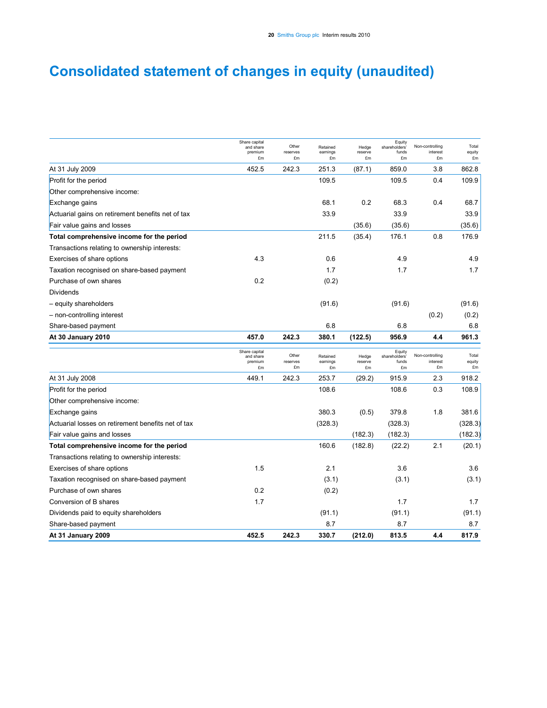# **Consolidated statement of changes in equity (unaudited)**

|                                                    | Share capital<br>and share<br>premium<br>£m | Other<br>reserves<br>£m | Retained<br>earnings<br>£m | Hedge<br>reserve<br>£m | Equity<br>shareholders'<br>funds<br>£m | Non-controlling<br>interest<br>£m | Total<br>equity<br>£m |
|----------------------------------------------------|---------------------------------------------|-------------------------|----------------------------|------------------------|----------------------------------------|-----------------------------------|-----------------------|
| At 31 July 2009                                    | 452.5                                       | 242.3                   | 251.3                      | (87.1)                 | 859.0                                  | 3.8                               | 862.8                 |
| Profit for the period                              |                                             |                         | 109.5                      |                        | 109.5                                  | 0.4                               | 109.9                 |
| Other comprehensive income:                        |                                             |                         |                            |                        |                                        |                                   |                       |
| Exchange gains                                     |                                             |                         | 68.1                       | 0.2                    | 68.3                                   | 0.4                               | 68.7                  |
| Actuarial gains on retirement benefits net of tax  |                                             |                         | 33.9                       |                        | 33.9                                   |                                   | 33.9                  |
| Fair value gains and losses                        |                                             |                         |                            | (35.6)                 | (35.6)                                 |                                   | (35.6)                |
| Total comprehensive income for the period          |                                             |                         | 211.5                      | (35.4)                 | 176.1                                  | 0.8                               | 176.9                 |
| Transactions relating to ownership interests:      |                                             |                         |                            |                        |                                        |                                   |                       |
| Exercises of share options                         | 4.3                                         |                         | 0.6                        |                        | 4.9                                    |                                   | 4.9                   |
| Taxation recognised on share-based payment         |                                             |                         | 1.7                        |                        | 1.7                                    |                                   | 1.7                   |
| Purchase of own shares                             | 0.2                                         |                         | (0.2)                      |                        |                                        |                                   |                       |
| <b>Dividends</b>                                   |                                             |                         |                            |                        |                                        |                                   |                       |
| - equity shareholders                              |                                             |                         | (91.6)                     |                        | (91.6)                                 |                                   | (91.6)                |
| - non-controlling interest                         |                                             |                         |                            |                        |                                        | (0.2)                             | (0.2)                 |
| Share-based payment                                |                                             |                         | 6.8                        |                        | 6.8                                    |                                   | 6.8                   |
| At 30 January 2010                                 | 457.0                                       | 242.3                   | 380.1                      | (122.5)                | 956.9                                  | 4.4                               | 961.3                 |
|                                                    | Share capital<br>and share<br>premium<br>£m | Other<br>reserves<br>£m | Retained<br>earnings<br>£m | Hedge<br>reserve<br>£m | Equity<br>shareholders'<br>funds<br>£m | Non-controlling<br>interest<br>£m | Total<br>equity<br>£m |
| At 31 July 2008                                    | 449.1                                       | 242.3                   | 253.7                      | (29.2)                 | 915.9                                  | 2.3                               | 918.2                 |
| Profit for the period                              |                                             |                         | 108.6                      |                        | 108.6                                  | 0.3                               | 108.9                 |
| Other comprehensive income:                        |                                             |                         |                            |                        |                                        |                                   |                       |
| Exchange gains                                     |                                             |                         | 380.3                      | (0.5)                  | 379.8                                  | 1.8                               | 381.6                 |
| Actuarial losses on retirement benefits net of tax |                                             |                         | (328.3)                    |                        | (328.3)                                |                                   | (328.3)               |
| Fair value gains and losses                        |                                             |                         |                            | (182.3)                | (182.3)                                |                                   | (182.3)               |
| Total comprehensive income for the period          |                                             |                         | 160.6                      | (182.8)                | (22.2)                                 | 2.1                               | (20.1)                |
| Transactions relating to ownership interests:      |                                             |                         |                            |                        |                                        |                                   |                       |
| Exercises of share options                         | 1.5                                         |                         | 2.1                        |                        | 3.6                                    |                                   | 3.6                   |
| Taxation recognised on share-based payment         |                                             |                         | (3.1)                      |                        | (3.1)                                  |                                   | (3.1)                 |
| Purchase of own shares                             | 0.2                                         |                         | (0.2)                      |                        |                                        |                                   |                       |
| Conversion of B shares                             | 1.7                                         |                         |                            |                        | 1.7                                    |                                   | 1.7                   |
| Dividends paid to equity shareholders              |                                             |                         | (91.1)                     |                        | (91.1)                                 |                                   | (91.1)                |
| Share-based payment                                |                                             |                         | 8.7                        |                        | 8.7                                    |                                   | 8.7                   |
| At 31 January 2009                                 | 452.5                                       | 242.3                   | 330.7                      | (212.0)                | 813.5                                  | 4.4                               | 817.9                 |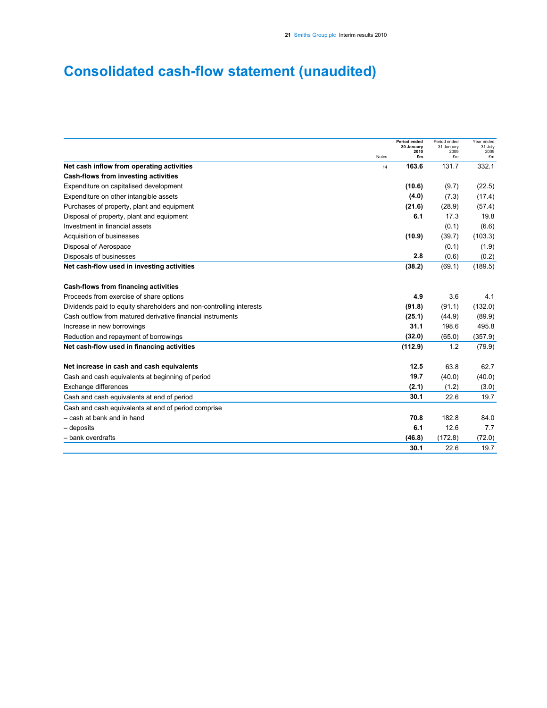# **Consolidated cash-flow statement (unaudited)**

|                                                                     | Notes | Period ended<br>30 January<br>2010<br>£m | Period ended<br>31 January<br>2009<br>£m | Year ended<br>31 July<br>2009<br>£m |
|---------------------------------------------------------------------|-------|------------------------------------------|------------------------------------------|-------------------------------------|
| Net cash inflow from operating activities                           | 14    | 163.6                                    | 131.7                                    | 332.1                               |
| Cash-flows from investing activities                                |       |                                          |                                          |                                     |
| Expenditure on capitalised development                              |       | (10.6)                                   | (9.7)                                    | (22.5)                              |
| Expenditure on other intangible assets                              |       | (4.0)                                    | (7.3)                                    | (17.4)                              |
| Purchases of property, plant and equipment                          |       | (21.6)                                   | (28.9)                                   | (57.4)                              |
| Disposal of property, plant and equipment                           |       | 6.1                                      | 17.3                                     | 19.8                                |
| Investment in financial assets                                      |       |                                          | (0.1)                                    | (6.6)                               |
| Acquisition of businesses                                           |       | (10.9)                                   | (39.7)                                   | (103.3)                             |
| Disposal of Aerospace                                               |       |                                          | (0.1)                                    | (1.9)                               |
| Disposals of businesses                                             |       | 2.8                                      | (0.6)                                    | (0.2)                               |
| Net cash-flow used in investing activities                          |       | (38.2)                                   | (69.1)                                   | (189.5)                             |
| Cash-flows from financing activities                                |       |                                          |                                          |                                     |
| Proceeds from exercise of share options                             |       | 4.9                                      | 3.6                                      | 4.1                                 |
| Dividends paid to equity shareholders and non-controlling interests |       | (91.8)                                   | (91.1)                                   | (132.0)                             |
| Cash outflow from matured derivative financial instruments          |       | (25.1)                                   | (44.9)                                   | (89.9)                              |
| Increase in new borrowings                                          |       | 31.1                                     | 198.6                                    | 495.8                               |
| Reduction and repayment of borrowings                               |       | (32.0)                                   | (65.0)                                   | (357.9)                             |
| Net cash-flow used in financing activities                          |       | (112.9)                                  | 1.2                                      | (79.9)                              |
| Net increase in cash and cash equivalents                           |       | 12.5                                     | 63.8                                     | 62.7                                |
| Cash and cash equivalents at beginning of period                    |       | 19.7                                     | (40.0)                                   | (40.0)                              |
| Exchange differences                                                |       | (2.1)                                    | (1.2)                                    | (3.0)                               |
| Cash and cash equivalents at end of period                          |       | 30.1                                     | 22.6                                     | 19.7                                |
| Cash and cash equivalents at end of period comprise                 |       |                                          |                                          |                                     |
| - cash at bank and in hand                                          |       | 70.8                                     | 182.8                                    | 84.0                                |
| - deposits                                                          |       | 6.1                                      | 12.6                                     | 7.7                                 |
| - bank overdrafts                                                   |       | (46.8)                                   | (172.8)                                  | (72.0)                              |
|                                                                     |       | 30.1                                     | 22.6                                     | 19.7                                |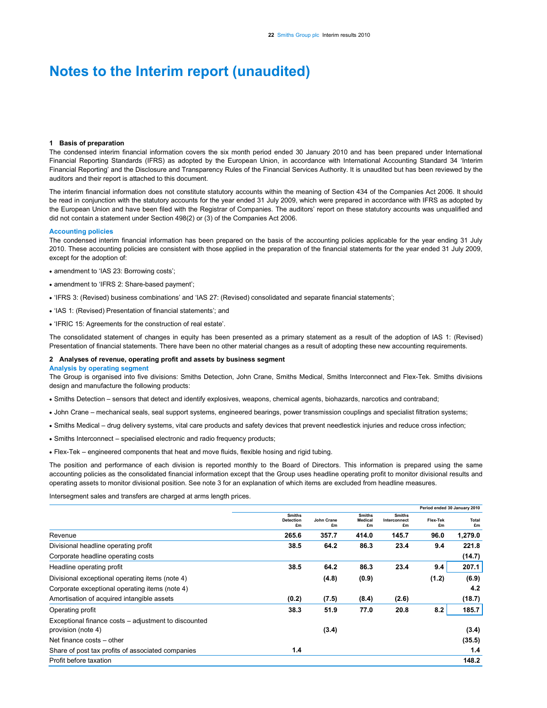# **Notes to the Interim report (unaudited)**

#### **1 Basis of preparation**

The condensed interim financial information covers the six month period ended 30 January 2010 and has been prepared under International Financial Reporting Standards (IFRS) as adopted by the European Union, in accordance with International Accounting Standard 34 'Interim Financial Reporting' and the Disclosure and Transparency Rules of the Financial Services Authority. It is unaudited but has been reviewed by the auditors and their report is attached to this document.

The interim financial information does not constitute statutory accounts within the meaning of Section 434 of the Companies Act 2006. It should be read in conjunction with the statutory accounts for the year ended 31 July 2009, which were prepared in accordance with IFRS as adopted by the European Union and have been filed with the Registrar of Companies. The auditors' report on these statutory accounts was unqualified and did not contain a statement under Section 498(2) or (3) of the Companies Act 2006.

#### **Accounting policies**

The condensed interim financial information has been prepared on the basis of the accounting policies applicable for the year ending 31 July 2010. These accounting policies are consistent with those applied in the preparation of the financial statements for the year ended 31 July 2009, except for the adoption of:

- amendment to 'IAS 23: Borrowing costs';
- amendment to 'IFRS 2: Share-based payment';
- 'IFRS 3: (Revised) business combinations' and 'IAS 27: (Revised) consolidated and separate financial statements';
- 'IAS 1: (Revised) Presentation of financial statements'; and
- 'IFRIC 15: Agreements for the construction of real estate'.

The consolidated statement of changes in equity has been presented as a primary statement as a result of the adoption of IAS 1: (Revised) Presentation of financial statements. There have been no other material changes as a result of adopting these new accounting requirements.

#### **2 Analyses of revenue, operating profit and assets by business segment**

#### **Analysis by operating segment**

The Group is organised into five divisions: Smiths Detection, John Crane, Smiths Medical, Smiths Interconnect and Flex-Tek. Smiths divisions design and manufacture the following products:

- Smiths Detection sensors that detect and identify explosives, weapons, chemical agents, biohazards, narcotics and contraband;
- John Crane mechanical seals, seal support systems, engineered bearings, power transmission couplings and specialist filtration systems;
- Smiths Medical drug delivery systems, vital care products and safety devices that prevent needlestick injuries and reduce cross infection;
- Smiths Interconnect specialised electronic and radio frequency products;
- Flex-Tek engineered components that heat and move fluids, flexible hosing and rigid tubing.

The position and performance of each division is reported monthly to the Board of Directors. This information is prepared using the same accounting policies as the consolidated financial information except that the Group uses headline operating profit to monitor divisional results and operating assets to monitor divisional position. See note 3 for an explanation of which items are excluded from headline measures.

Intersegment sales and transfers are charged at arms length prices.

|                                                                            | <b>Smiths</b><br>Detection<br>£m | John Crane<br>£m | <b>Smiths</b><br>Medical<br>£m | <b>Smiths</b><br>Interconnect<br>£m | Flex-Tek<br>£m | Total<br>£m |  |
|----------------------------------------------------------------------------|----------------------------------|------------------|--------------------------------|-------------------------------------|----------------|-------------|--|
| Revenue                                                                    | 265.6                            | 357.7            | 414.0                          | 145.7                               | 96.0           | 1,279.0     |  |
| Divisional headline operating profit                                       | 38.5                             | 64.2             | 86.3                           | 23.4                                | 9.4            | 221.8       |  |
| Corporate headline operating costs                                         |                                  |                  |                                |                                     |                | (14.7)      |  |
| Headline operating profit                                                  | 38.5                             | 64.2             | 86.3                           | 23.4                                | 9.4            | 207.1       |  |
| Divisional exceptional operating items (note 4)                            |                                  | (4.8)            | (0.9)                          |                                     | (1.2)          | (6.9)       |  |
| Corporate exceptional operating items (note 4)                             |                                  |                  |                                |                                     |                | 4.2         |  |
| Amortisation of acquired intangible assets                                 | (0.2)                            | (7.5)            | (8.4)                          | (2.6)                               |                | (18.7)      |  |
| Operating profit                                                           | 38.3                             | 51.9             | 77.0                           | 20.8                                | 8.2            | 185.7       |  |
| Exceptional finance costs - adjustment to discounted<br>provision (note 4) |                                  | (3.4)            |                                |                                     |                | (3.4)       |  |
| Net finance costs - other                                                  |                                  |                  |                                |                                     |                | (35.5)      |  |
| Share of post tax profits of associated companies                          | 1.4                              |                  |                                |                                     |                | 1.4         |  |
| Profit before taxation                                                     |                                  |                  |                                |                                     |                | 148.2       |  |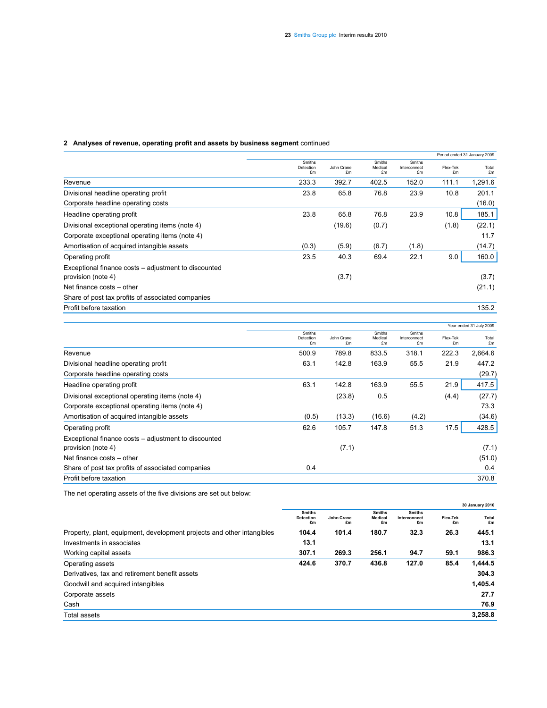# **2 Analyses of revenue, operating profit and assets by business segment** continued

|                                                                            |                           |                  |                         |                              |                | Period ended 31 January 2009 |
|----------------------------------------------------------------------------|---------------------------|------------------|-------------------------|------------------------------|----------------|------------------------------|
|                                                                            | Smiths<br>Detection<br>£m | John Crane<br>£m | Smiths<br>Medical<br>£m | Smiths<br>Interconnect<br>£m | Flex-Tek<br>£m | Total<br>£m                  |
| Revenue                                                                    | 233.3                     | 392.7            | 402.5                   | 152.0                        | 111.1          | 1,291.6                      |
| Divisional headline operating profit                                       | 23.8                      | 65.8             | 76.8                    | 23.9                         | 10.8           | 201.1                        |
| Corporate headline operating costs                                         |                           |                  |                         |                              |                | (16.0)                       |
| Headline operating profit                                                  | 23.8                      | 65.8             | 76.8                    | 23.9                         | 10.8           | 185.1                        |
| Divisional exceptional operating items (note 4)                            |                           | (19.6)           | (0.7)                   |                              | (1.8)          | (22.1)                       |
| Corporate exceptional operating items (note 4)                             |                           |                  |                         |                              |                | 11.7                         |
| Amortisation of acquired intangible assets                                 | (0.3)                     | (5.9)            | (6.7)                   | (1.8)                        |                | (14.7)                       |
| Operating profit                                                           | 23.5                      | 40.3             | 69.4                    | 22.1                         | 9.0            | 160.0                        |
| Exceptional finance costs – adjustment to discounted<br>provision (note 4) |                           | (3.7)            |                         |                              |                | (3.7)                        |
| Net finance costs - other                                                  |                           |                  |                         |                              |                | (21.1)                       |
| Share of post tax profits of associated companies                          |                           |                  |                         |                              |                |                              |
| Profit before taxation                                                     |                           |                  |                         |                              |                | 135.2                        |
|                                                                            |                           |                  |                         |                              |                | Year ended 31 July 2009      |
|                                                                            | Smiths<br>Detection<br>£m | John Crane<br>£m | Smiths<br>Medical<br>£m | Smiths<br>Interconnect<br>£m | Flex-Tek<br>£m | Total<br>£m                  |
| Revenue                                                                    | 500.9                     | 789.8            | 833.5                   | 318.1                        | 222.3          | 2,664.6                      |
| Divisional headline operating profit                                       | 63.1                      | 142.8            | 163.9                   | 55.5                         | 21.9           | 447.2                        |
| Corporate headline operating costs                                         |                           |                  |                         |                              |                | (29.7)                       |
| Headline operating profit                                                  | 63.1                      | 142.8            | 163.9                   | 55.5                         | 21.9           | 417.5                        |
| Divisional exceptional operating items (note 4)                            |                           | (23.8)           | 0.5                     |                              | (4.4)          | (27.7)                       |
| Corporate exceptional operating items (note 4)                             |                           |                  |                         |                              |                | 73.3                         |
| Amortisation of acquired intangible assets                                 | (0.5)                     | (13.3)           | (16.6)                  | (4.2)                        |                | (34.6)                       |
| Operating profit                                                           | 62.6                      | 105.7            | 147.8                   | 51.3                         | 17.5           | 428.5                        |
| Exceptional finance costs – adjustment to discounted<br>provision (note 4) |                           | (7.1)            |                         |                              |                | (7.1)                        |

The net operating assets of the five divisions are set out below:

|                                                                        |                                         |                  |                                |                                     |                | 30 January 2010 |
|------------------------------------------------------------------------|-----------------------------------------|------------------|--------------------------------|-------------------------------------|----------------|-----------------|
|                                                                        | <b>Smiths</b><br><b>Detection</b><br>£m | John Crane<br>£m | <b>Smiths</b><br>Medical<br>£m | <b>Smiths</b><br>Interconnect<br>£m | Flex-Tek<br>£m | Total<br>£m     |
| Property, plant, equipment, development projects and other intangibles | 104.4                                   | 101.4            | 180.7                          | 32.3                                | 26.3           | 445.1           |
| Investments in associates                                              | 13.1                                    |                  |                                |                                     |                | 13.1            |
| Working capital assets                                                 | 307.1                                   | 269.3            | 256.1                          | 94.7                                | 59.1           | 986.3           |
| Operating assets                                                       | 424.6                                   | 370.7            | 436.8                          | 127.0                               | 85.4           | 1.444.5         |
| Derivatives, tax and retirement benefit assets                         |                                         |                  |                                |                                     |                | 304.3           |
| Goodwill and acquired intangibles                                      |                                         |                  |                                |                                     |                | 1,405.4         |
| Corporate assets                                                       |                                         |                  |                                |                                     |                | 27.7            |
| Cash                                                                   |                                         |                  |                                |                                     |                | 76.9            |
| Total assets                                                           |                                         |                  |                                |                                     |                | 3,258.8         |

Net finance costs – other (51.0) (61.0) Share of post tax profits of associated companies 0.4 0.4 Profit before taxation 370.8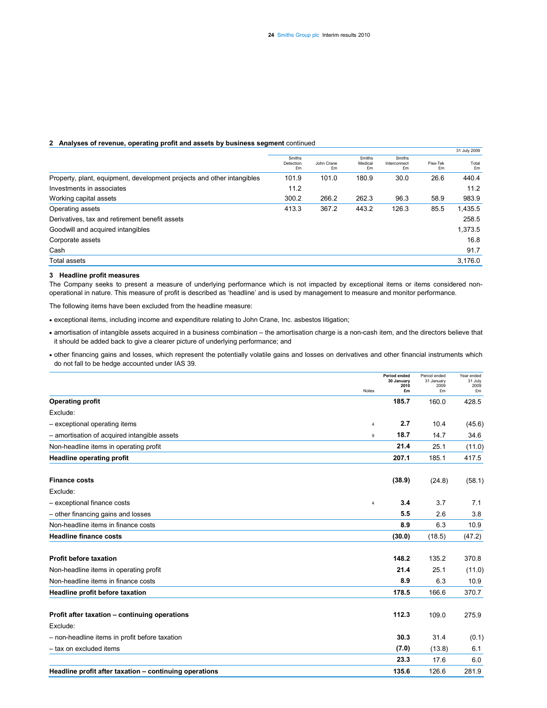### **2 Analyses of revenue, operating profit and assets by business segment** continued

|                                                                        |                           |                  |                         |                              |                | 31 July 2009 |
|------------------------------------------------------------------------|---------------------------|------------------|-------------------------|------------------------------|----------------|--------------|
|                                                                        | Smiths<br>Detection<br>£m | John Crane<br>£m | Smiths<br>Medical<br>£m | Smiths<br>Interconnect<br>£m | Flex-Tek<br>£m | Total<br>£m  |
| Property, plant, equipment, development projects and other intangibles | 101.9                     | 101.0            | 180.9                   | 30.0                         | 26.6           | 440.4        |
| Investments in associates                                              | 11.2                      |                  |                         |                              |                | 11.2         |
| Working capital assets                                                 | 300.2                     | 266.2            | 262.3                   | 96.3                         | 58.9           | 983.9        |
| Operating assets                                                       | 413.3                     | 367.2            | 443.2                   | 126.3                        | 85.5           | 1,435.5      |
| Derivatives, tax and retirement benefit assets                         |                           |                  |                         |                              |                | 258.5        |
| Goodwill and acquired intangibles                                      |                           |                  |                         |                              |                | 1,373.5      |
| Corporate assets                                                       |                           |                  |                         |                              |                | 16.8         |
| Cash                                                                   |                           |                  |                         |                              |                | 91.7         |
| Total assets                                                           |                           |                  |                         |                              |                | 3.176.0      |

# **3 Headline profit measures**

The Company seeks to present a measure of underlying performance which is not impacted by exceptional items or items considered nonoperational in nature. This measure of profit is described as 'headline' and is used by management to measure and monitor performance.

The following items have been excluded from the headline measure:

- exceptional items, including income and expenditure relating to John Crane, Inc. asbestos litigation;
- amortisation of intangible assets acquired in a business combination the amortisation charge is a non-cash item, and the directors believe that it should be added back to give a clearer picture of underlying performance; and
- other financing gains and losses, which represent the potentially volatile gains and losses on derivatives and other financial instruments which do not fall to be hedge accounted under IAS 39.

|                                                        |                | Period ended<br>30 January<br>2010 | Period ended<br>31 January<br>2009 | Year ended<br>31 July<br>2009 |
|--------------------------------------------------------|----------------|------------------------------------|------------------------------------|-------------------------------|
|                                                        | <b>Notes</b>   | £m                                 | £m                                 | £m                            |
| <b>Operating profit</b>                                |                | 185.7                              | 160.0                              | 428.5                         |
| Exclude:                                               |                |                                    |                                    |                               |
| - exceptional operating items                          | $\overline{4}$ | 2.7                                | 10.4                               | (45.6)                        |
| - amortisation of acquired intangible assets           | 9              | 18.7                               | 14.7                               | 34.6                          |
| Non-headline items in operating profit                 |                | 21.4                               | 25.1                               | (11.0)                        |
| <b>Headline operating profit</b>                       |                | 207.1                              | 185.1                              | 417.5                         |
| <b>Finance costs</b>                                   |                | (38.9)                             | (24.8)                             | (58.1)                        |
| Exclude:                                               |                |                                    |                                    |                               |
| - exceptional finance costs                            | $\overline{4}$ | 3.4                                | 3.7                                | 7.1                           |
| - other financing gains and losses                     |                | 5.5                                | 2.6                                | 3.8                           |
| Non-headline items in finance costs                    |                | 8.9                                | 6.3                                | 10.9                          |
| <b>Headline finance costs</b>                          |                | (30.0)                             | (18.5)                             | (47.2)                        |
| Profit before taxation                                 |                | 148.2                              | 135.2                              | 370.8                         |
| Non-headline items in operating profit                 |                | 21.4                               | 25.1                               | (11.0)                        |
| Non-headline items in finance costs                    |                | 8.9                                | 6.3                                | 10.9                          |
| Headline profit before taxation                        |                | 178.5                              | 166.6                              | 370.7                         |
| Profit after taxation - continuing operations          |                | 112.3                              | 109.0                              | 275.9                         |
| Exclude:                                               |                |                                    |                                    |                               |
| - non-headline items in profit before taxation         |                | 30.3                               | 31.4                               | (0.1)                         |
| - tax on excluded items                                |                | (7.0)                              | (13.8)                             | 6.1                           |
|                                                        |                | 23.3                               | 17.6                               | 6.0                           |
| Headline profit after taxation - continuing operations |                | 135.6                              | 126.6                              | 281.9                         |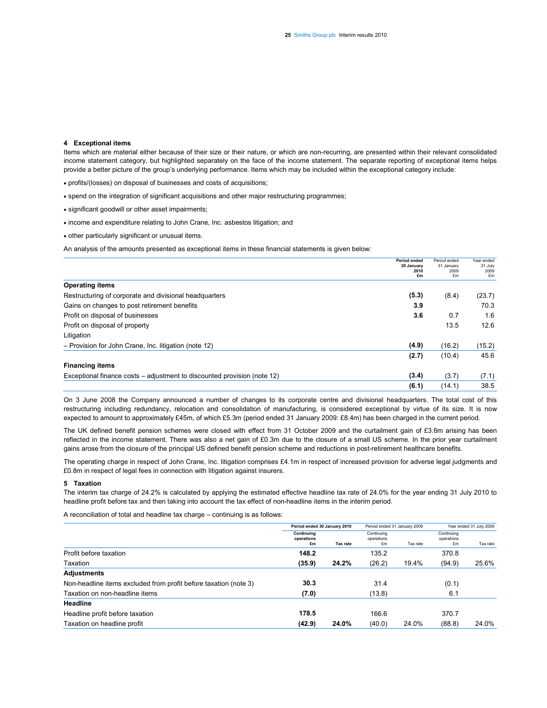#### **4 Exceptional items**

Items which are material either because of their size or their nature, or which are non-recurring, are presented within their relevant consolidated income statement category, but highlighted separately on the face of the income statement. The separate reporting of exceptional items helps provide a better picture of the group's underlying performance. Items which may be included within the exceptional category include:

- profits/(losses) on disposal of businesses and costs of acquisitions;
- spend on the integration of significant acquisitions and other major restructuring programmes;
- significant goodwill or other asset impairments;
- income and expenditure relating to John Crane, Inc. asbestos litigation; and
- other particularly significant or unusual items.

An analysis of the amounts presented as exceptional items in these financial statements is given below:

|                                                                          | Period ended<br>30 January | Period ended<br>31 January | Year ended<br>31 July |
|--------------------------------------------------------------------------|----------------------------|----------------------------|-----------------------|
|                                                                          | 2010<br>£m                 | 2009<br>£m                 | 2009<br>£m            |
| <b>Operating items</b>                                                   |                            |                            |                       |
| Restructuring of corporate and divisional headquarters                   | (5.3)                      | (8.4)                      | (23.7)                |
| Gains on changes to post retirement benefits                             | 3.9                        |                            | 70.3                  |
| Profit on disposal of businesses                                         | 3.6                        | 0.7                        | 1.6                   |
| Profit on disposal of property                                           |                            | 13.5                       | 12.6                  |
| Litigation                                                               |                            |                            |                       |
| - Provision for John Crane, Inc. litigation (note 12)                    | (4.9)                      | (16.2)                     | (15.2)                |
|                                                                          | (2.7)                      | (10.4)                     | 45.6                  |
| <b>Financing items</b>                                                   |                            |                            |                       |
| Exceptional finance costs – adjustment to discounted provision (note 12) | (3.4)                      | (3.7)                      | (7.1)                 |
|                                                                          | (6.1)                      | (14.1)                     | 38.5                  |

On 3 June 2008 the Company announced a number of changes to its corporate centre and divisional headquarters. The total cost of this restructuring including redundancy, relocation and consolidation of manufacturing, is considered exceptional by virtue of its size. It is now expected to amount to approximately £45m, of which £5.3m (period ended 31 January 2009: £8.4m) has been charged in the current period.

The UK defined benefit pension schemes were closed with effect from 31 October 2009 and the curtailment gain of £3.6m arising has been reflected in the income statement. There was also a net gain of £0.3m due to the closure of a small US scheme. In the prior year curtailment gains arose from the closure of the principal US defined benefit pension scheme and reductions in post-retirement healthcare benefits.

The operating charge in respect of John Crane, Inc. litigation comprises £4.1m in respect of increased provision for adverse legal judgments and £0.8m in respect of legal fees in connection with litigation against insurers.

#### **5 Taxation**

The interim tax charge of 24.2% is calculated by applying the estimated effective headline tax rate of 24.0% for the year ending 31 July 2010 to headline profit before tax and then taking into account the tax effect of non-headline items in the interim period.

A reconciliation of total and headline tax charge – continuing is as follows:

|                                                                  | Period ended 30 January 2010   |          | Period ended 31 January 2009   |          | Year ended 31 July 2009        |          |
|------------------------------------------------------------------|--------------------------------|----------|--------------------------------|----------|--------------------------------|----------|
|                                                                  | Continuing<br>operations<br>£m | Tax rate | Continuing<br>operations<br>£m | Tax rate | Continuing<br>operations<br>£m | Tax rate |
| Profit before taxation                                           | 148.2                          |          | 135.2                          |          | 370.8                          |          |
| Taxation                                                         | (35.9)                         | 24.2%    | (26.2)                         | 19.4%    | (94.9)                         | 25.6%    |
| <b>Adjustments</b>                                               |                                |          |                                |          |                                |          |
| Non-headline items excluded from profit before taxation (note 3) | 30.3                           |          | 31.4                           |          | (0.1)                          |          |
| Taxation on non-headline items                                   | (7.0)                          |          | (13.8)                         |          | 6.1                            |          |
| Headline                                                         |                                |          |                                |          |                                |          |
| Headline profit before taxation                                  | 178.5                          |          | 166.6                          |          | 370.7                          |          |
| Taxation on headline profit                                      | (42.9)                         | 24.0%    | (40.0)                         | 24.0%    | (88.8)                         | 24.0%    |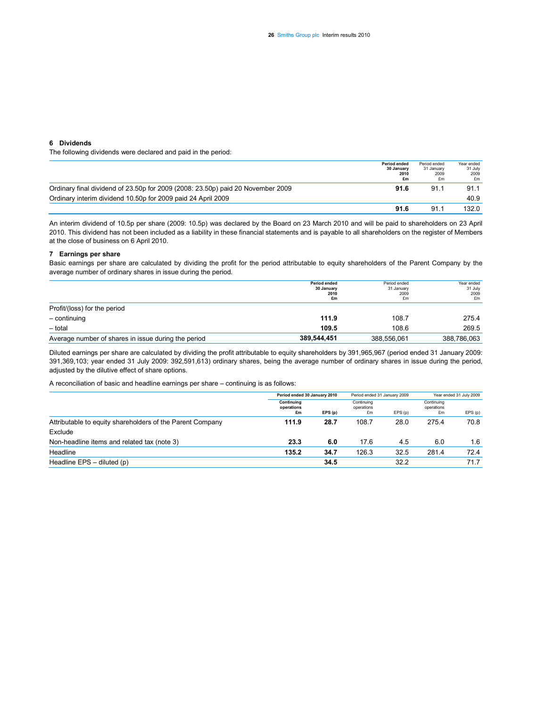### **6 Dividends**

The following dividends were declared and paid in the period:

|                                                                                 | Period ended<br>30 January<br>2010<br>£m | Period ended<br>31 January<br>2009<br>£m | Year ended<br>31 July<br>2009<br>£m |
|---------------------------------------------------------------------------------|------------------------------------------|------------------------------------------|-------------------------------------|
| Ordinary final dividend of 23.50p for 2009 (2008: 23.50p) paid 20 November 2009 | 91.6                                     | 91.1                                     | 91.1                                |
| Ordinary interim dividend 10.50p for 2009 paid 24 April 2009                    |                                          |                                          | 40.9                                |
|                                                                                 | 91.6                                     | 91.1                                     | 132.0                               |

An interim dividend of 10.5p per share (2009: 10.5p) was declared by the Board on 23 March 2010 and will be paid to shareholders on 23 April 2010. This dividend has not been included as a liability in these financial statements and is payable to all shareholders on the register of Members at the close of business on 6 April 2010.

#### **7 Earnings per share**

Basic earnings per share are calculated by dividing the profit for the period attributable to equity shareholders of the Parent Company by the average number of ordinary shares in issue during the period.

|                                                     | <b>Period ended</b><br>30 January<br>2010<br>£m | Period ended<br>31 January<br>2009<br>£m | Year ended<br>31 July<br>2009<br>£m |
|-----------------------------------------------------|-------------------------------------------------|------------------------------------------|-------------------------------------|
| Profit/(loss) for the period                        |                                                 |                                          |                                     |
| - continuing                                        | 111.9                                           | 108.7                                    | 275.4                               |
| - total                                             | 109.5                                           | 108.6                                    | 269.5                               |
| Average number of shares in issue during the period | 389,544,451                                     | 388,556,061                              | 388,786,063                         |

Diluted earnings per share are calculated by dividing the profit attributable to equity shareholders by 391,965,967 (period ended 31 January 2009: 391,369,103; year ended 31 July 2009: 392,591,613) ordinary shares, being the average number of ordinary shares in issue during the period, adjusted by the dilutive effect of share options.

A reconciliation of basic and headline earnings per share – continuing is as follows:

|                                                           |                                | Period ended 30 January 2010 |                                | Period ended 31 January 2009 |                                | Year ended 31 July 2009 |  |
|-----------------------------------------------------------|--------------------------------|------------------------------|--------------------------------|------------------------------|--------------------------------|-------------------------|--|
|                                                           | Continuina<br>operations<br>£m | EPS(p)                       | Continuing<br>operations<br>£m | EPS(p)                       | Continuina<br>operations<br>£m | EPS(p)                  |  |
| Attributable to equity shareholders of the Parent Company | 111.9                          | 28.7                         | 108.7                          | 28.0                         | 275.4                          | 70.8                    |  |
| Exclude                                                   |                                |                              |                                |                              |                                |                         |  |
| Non-headline items and related tax (note 3)               | 23.3                           | 6.0                          | 17.6                           | 4.5                          | 6.0                            | 1.6                     |  |
| Headline                                                  | 135.2                          | 34.7                         | 126.3                          | 32.5                         | 281.4                          | 72.4                    |  |
| Headline $EPS -$ diluted (p)                              |                                | 34.5                         |                                | 32.2                         |                                | 71.7                    |  |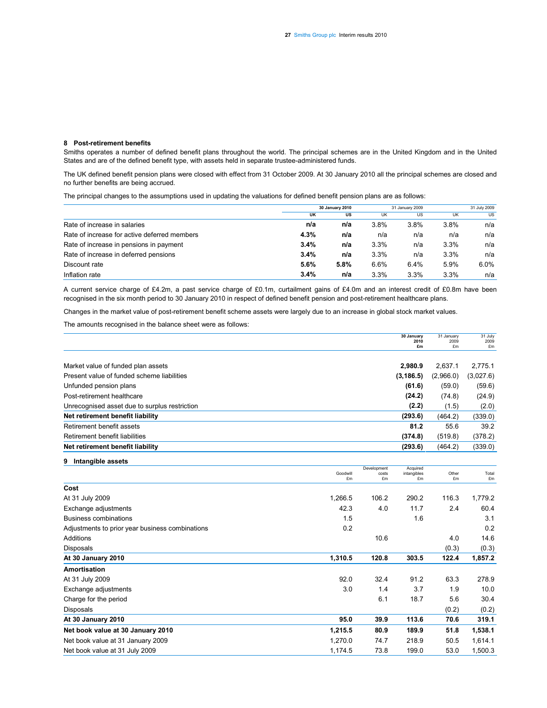### **8 Post-retirement benefits**

**9 Intangible assets** 

Smiths operates a number of defined benefit plans throughout the world. The principal schemes are in the United Kingdom and in the United States and are of the defined benefit type, with assets held in separate trustee-administered funds.

The UK defined benefit pension plans were closed with effect from 31 October 2009. At 30 January 2010 all the principal schemes are closed and no further benefits are being accrued.

The principal changes to the assumptions used in updating the valuations for defined benefit pension plans are as follows:

|                                              | 30 January 2010 |      | 31 January 2009 |         |           | 31 July 2009 |
|----------------------------------------------|-----------------|------|-----------------|---------|-----------|--------------|
|                                              | UK              | US   | UK              | US      | <b>UK</b> | US           |
| Rate of increase in salaries                 | n/a             | n/a  | 3.8%            | $3.8\%$ | 3.8%      | n/a          |
| Rate of increase for active deferred members | 4.3%            | n/a  | n/a             | n/a     | n/a       | n/a          |
| Rate of increase in pensions in payment      | 3.4%            | n/a  | 3.3%            | n/a     | 3.3%      | n/a          |
| Rate of increase in deferred pensions        | 3.4%            | n/a  | 3.3%            | n/a     | 3.3%      | n/a          |
| Discount rate                                | 5.6%            | 5.8% | 6.6%            | 6.4%    | 5.9%      | 6.0%         |
| Inflation rate                               | 3.4%            | n/a  | 3.3%            | 3.3%    | 3.3%      | n/a          |

A current service charge of £4.2m, a past service charge of £0.1m, curtailment gains of £4.0m and an interest credit of £0.8m have been recognised in the six month period to 30 January 2010 in respect of defined benefit pension and post-retirement healthcare plans.

Changes in the market value of post-retirement benefit scheme assets were largely due to an increase in global stock market values.

The amounts recognised in the balance sheet were as follows:

|                                               | 30 January<br>2010<br>£m | 31 January<br>2009<br>£m | 31 July<br>2009<br>£m |
|-----------------------------------------------|--------------------------|--------------------------|-----------------------|
|                                               |                          |                          |                       |
| Market value of funded plan assets            | 2.980.9                  | 2.637.1                  | 2.775.1               |
| Present value of funded scheme liabilities    | (3, 186.5)               | (2,966.0)                | (3,027.6)             |
| Unfunded pension plans                        | (61.6)                   | (59.0)                   | (59.6)                |
| Post-retirement healthcare                    | (24.2)                   | (74.8)                   | (24.9)                |
| Unrecognised asset due to surplus restriction | (2.2)                    | (1.5)                    | (2.0)                 |
| Net retirement benefit liability              | (293.6)                  | (464.2)                  | (339.0)               |
| Retirement benefit assets                     | 81.2                     | 55.6                     | 39.2                  |
| Retirement benefit liabilities                | (374.8)                  | (519.8)                  | (378.2)               |
| Net retirement benefit liability              | (293.6)                  | (464.2)                  | (339.0)               |

|                                                 | Goodwill<br>£m | Development<br>costs<br>£m | Acquired<br>intangibles<br>£m | Other<br>£m | Total<br>£m |
|-------------------------------------------------|----------------|----------------------------|-------------------------------|-------------|-------------|
| Cost                                            |                |                            |                               |             |             |
| At 31 July 2009                                 | 1,266.5        | 106.2                      | 290.2                         | 116.3       | 1,779.2     |
| Exchange adjustments                            | 42.3           | 4.0                        | 11.7                          | 2.4         | 60.4        |
| <b>Business combinations</b>                    | 1.5            |                            | 1.6                           |             | 3.1         |
| Adjustments to prior year business combinations | 0.2            |                            |                               |             | 0.2         |
| Additions                                       |                | 10.6                       |                               | 4.0         | 14.6        |
| Disposals                                       |                |                            |                               | (0.3)       | (0.3)       |
| At 30 January 2010                              | 1,310.5        | 120.8                      | 303.5                         | 122.4       | 1,857.2     |
| Amortisation                                    |                |                            |                               |             |             |
| At 31 July 2009                                 | 92.0           | 32.4                       | 91.2                          | 63.3        | 278.9       |
| Exchange adjustments                            | 3.0            | 1.4                        | 3.7                           | 1.9         | 10.0        |
| Charge for the period                           |                | 6.1                        | 18.7                          | 5.6         | 30.4        |
| Disposals                                       |                |                            |                               | (0.2)       | (0.2)       |
| At 30 January 2010                              | 95.0           | 39.9                       | 113.6                         | 70.6        | 319.1       |
| Net book value at 30 January 2010               | 1,215.5        | 80.9                       | 189.9                         | 51.8        | 1,538.1     |
| Net book value at 31 January 2009               | 1,270.0        | 74.7                       | 218.9                         | 50.5        | 1,614.1     |
| Net book value at 31 July 2009                  | 1,174.5        | 73.8                       | 199.0                         | 53.0        | 1,500.3     |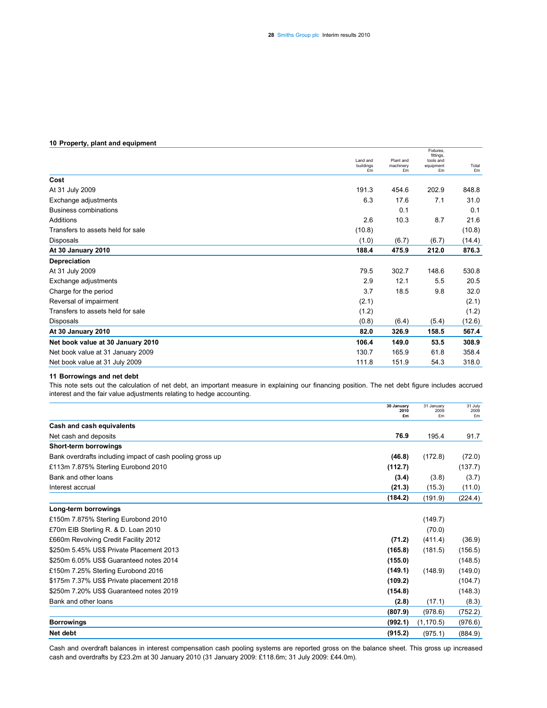# **10 Property, plant and equipment**

|                                   | Land and<br>buildings<br>£m | Plant and<br>machinery<br>£m | Fixtures.<br>fittings,<br>tools and<br>equipment<br>£m | Total<br>£m |
|-----------------------------------|-----------------------------|------------------------------|--------------------------------------------------------|-------------|
| Cost                              |                             |                              |                                                        |             |
| At 31 July 2009                   | 191.3                       | 454.6                        | 202.9                                                  | 848.8       |
| Exchange adjustments              | 6.3                         | 17.6                         | 7.1                                                    | 31.0        |
| Business combinations             |                             | 0.1                          |                                                        | 0.1         |
| Additions                         | 2.6                         | 10.3                         | 8.7                                                    | 21.6        |
| Transfers to assets held for sale | (10.8)                      |                              |                                                        | (10.8)      |
| Disposals                         | (1.0)                       | (6.7)                        | (6.7)                                                  | (14.4)      |
| At 30 January 2010                | 188.4                       | 475.9                        | 212.0                                                  | 876.3       |
| <b>Depreciation</b>               |                             |                              |                                                        |             |
| At 31 July 2009                   | 79.5                        | 302.7                        | 148.6                                                  | 530.8       |
| Exchange adjustments              | 2.9                         | 12.1                         | 5.5                                                    | 20.5        |
| Charge for the period             | 3.7                         | 18.5                         | 9.8                                                    | 32.0        |
| Reversal of impairment            | (2.1)                       |                              |                                                        | (2.1)       |
| Transfers to assets held for sale | (1.2)                       |                              |                                                        | (1.2)       |
| Disposals                         | (0.8)                       | (6.4)                        | (5.4)                                                  | (12.6)      |
| At 30 January 2010                | 82.0                        | 326.9                        | 158.5                                                  | 567.4       |
| Net book value at 30 January 2010 | 106.4                       | 149.0                        | 53.5                                                   | 308.9       |
| Net book value at 31 January 2009 | 130.7                       | 165.9                        | 61.8                                                   | 358.4       |
| Net book value at 31 July 2009    | 111.8                       | 151.9                        | 54.3                                                   | 318.0       |
|                                   |                             |                              |                                                        |             |

# **11 Borrowings and net debt**

This note sets out the calculation of net debt, an important measure in explaining our financing position. The net debt figure includes accrued interest and the fair value adjustments relating to hedge accounting.

|                                                           | 30 January<br>2010<br>£m | 31 January<br>2009<br>£m | 31 July<br>2009<br>£m |
|-----------------------------------------------------------|--------------------------|--------------------------|-----------------------|
| Cash and cash equivalents                                 |                          |                          |                       |
| Net cash and deposits                                     | 76.9                     | 195.4                    | 91.7                  |
| Short-term borrowings                                     |                          |                          |                       |
| Bank overdrafts including impact of cash pooling gross up | (46.8)                   | (172.8)                  | (72.0)                |
| £113m 7.875% Sterling Eurobond 2010                       | (112.7)                  |                          | (137.7)               |
| Bank and other loans                                      | (3.4)                    | (3.8)                    | (3.7)                 |
| Interest accrual                                          | (21.3)                   | (15.3)                   | (11.0)                |
|                                                           | (184.2)                  | (191.9)                  | (224.4)               |
| Long-term borrowings                                      |                          |                          |                       |
| £150m 7.875% Sterling Eurobond 2010                       |                          | (149.7)                  |                       |
| £70m EIB Sterling R. & D. Loan 2010                       |                          | (70.0)                   |                       |
| £660m Revolving Credit Facility 2012                      | (71.2)                   | (411.4)                  | (36.9)                |
| \$250m 5.45% US\$ Private Placement 2013                  | (165.8)                  | (181.5)                  | (156.5)               |
| \$250m 6.05% US\$ Guaranteed notes 2014                   | (155.0)                  |                          | (148.5)               |
| £150m 7.25% Sterling Eurobond 2016                        | (149.1)                  | (148.9)                  | (149.0)               |
| \$175m 7.37% US\$ Private placement 2018                  | (109.2)                  |                          | (104.7)               |
| \$250m 7.20% US\$ Guaranteed notes 2019                   | (154.8)                  |                          | (148.3)               |
| Bank and other loans                                      | (2.8)                    | (17.1)                   | (8.3)                 |
|                                                           | (807.9)                  | (978.6)                  | (752.2)               |
| <b>Borrowings</b>                                         | (992.1)                  | (1, 170.5)               | (976.6)               |
| Net debt                                                  | (915.2)                  | (975.1)                  | (884.9)               |

Cash and overdraft balances in interest compensation cash pooling systems are reported gross on the balance sheet. This gross up increased cash and overdrafts by £23.2m at 30 January 2010 (31 January 2009: £118.6m; 31 July 2009: £44.0m).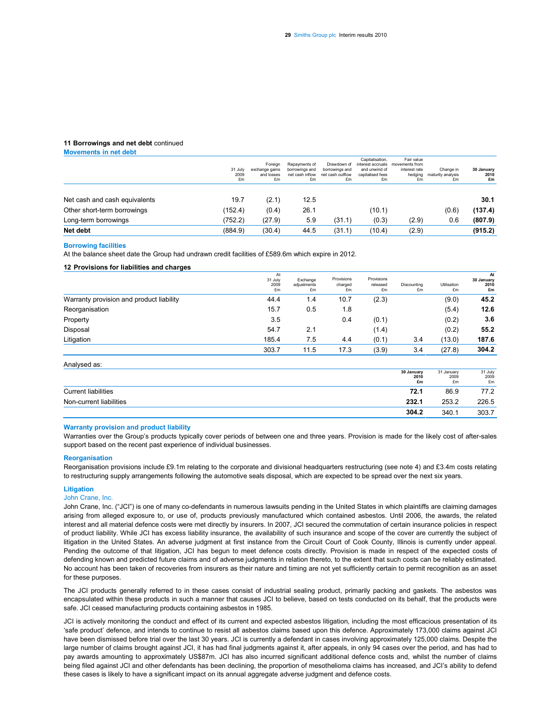#### **11 Borrowings and net debt** continued

**Movements in net debt** 

|                               | 31 July<br>2009<br>£m | Foreian<br>exchange gains<br>and losses<br>£m | Repayments of<br>borrowings and<br>net cash inflow<br>£m | Drawdown of<br>borrowings and<br>net cash outflow<br>£m | Capitalisation.<br>interest accruals<br>and unwind of<br>capitalised fees<br>£m | Fair value<br>movements from<br>interest rate<br>hedging<br>£m | Change in<br>maturity analysis<br>£m | 30 January<br>2010<br>£m |
|-------------------------------|-----------------------|-----------------------------------------------|----------------------------------------------------------|---------------------------------------------------------|---------------------------------------------------------------------------------|----------------------------------------------------------------|--------------------------------------|--------------------------|
| Net cash and cash equivalents | 19.7                  | (2.1)                                         | 12.5                                                     |                                                         |                                                                                 |                                                                |                                      | 30.1                     |
| Other short-term borrowings   | (152.4)               | (0.4)                                         | 26.1                                                     |                                                         | (10.1)                                                                          |                                                                | (0.6)                                | (137.4)                  |
| Long-term borrowings          | (752.2)               | (27.9)                                        | 5.9                                                      | (31.1)                                                  | (0.3)                                                                           | (2.9)                                                          | 0.6                                  | (807.9)                  |
| Net debt                      | (884.9)               | (30.4)                                        | 44.5                                                     | (31.1)                                                  | (10.4)                                                                          | (2.9)                                                          |                                      | (915.2)                  |

**Borrowing facilities** 

At the balance sheet date the Group had undrawn credit facilities of £589.6m which expire in 2012.

#### **12 Provisions for liabilities and charges**

|                                          | At<br>31 July<br>2009<br>£m | Exchange<br>adjustments<br>£m | Provisions<br>charged<br>£m | Provisions<br>released<br>£m | Discounting<br>£m | Utilisation<br>£m | At<br>30 January<br>2010<br>£m |
|------------------------------------------|-----------------------------|-------------------------------|-----------------------------|------------------------------|-------------------|-------------------|--------------------------------|
| Warranty provision and product liability | 44.4                        | 1.4                           | 10.7                        | (2.3)                        |                   | (9.0)             | 45.2                           |
| Reorganisation                           | 15.7                        | 0.5                           | 1.8                         |                              |                   | (5.4)             | 12.6                           |
| Property                                 | 3.5                         |                               | 0.4                         | (0.1)                        |                   | (0.2)             | 3.6                            |
| Disposal                                 | 54.7                        | 2.1                           |                             | (1.4)                        |                   | (0.2)             | 55.2                           |
| Litigation                               | 185.4                       | 7.5                           | 4.4                         | (0.1)                        | 3.4               | (13.0)            | 187.6                          |
|                                          | 303.7                       | 11.5                          | 17.3                        | (3.9)                        | 3.4               | (27.8)            | 304.2                          |

| Alialyseu as.              |                          |                          |                       |
|----------------------------|--------------------------|--------------------------|-----------------------|
|                            | 30 January<br>2010<br>£m | 31 January<br>2009<br>£m | 31 July<br>2009<br>£m |
| <b>Current liabilities</b> | 72.1                     | 86.9                     | 77.2                  |
| Non-current liabilities    | 232.1                    | 253.2                    | 226.5                 |
|                            | 304.2                    | 340.1                    | 303.7                 |

#### **Warranty provision and product liability**

Warranties over the Group's products typically cover periods of between one and three years. Provision is made for the likely cost of after-sales support based on the recent past experience of individual businesses.

#### **Reorganisation**

Analysed as:

Reorganisation provisions include £9.1m relating to the corporate and divisional headquarters restructuring (see note 4) and £3.4m costs relating to restructuring supply arrangements following the automotive seals disposal, which are expected to be spread over the next six years.

### **Litigation**

# John Crane, Inc.

John Crane, Inc. ("JCI") is one of many co-defendants in numerous lawsuits pending in the United States in which plaintiffs are claiming damages arising from alleged exposure to, or use of, products previously manufactured which contained asbestos. Until 2006, the awards, the related interest and all material defence costs were met directly by insurers. In 2007, JCI secured the commutation of certain insurance policies in respect of product liability. While JCI has excess liability insurance, the availability of such insurance and scope of the cover are currently the subject of litigation in the United States. An adverse judgment at first instance from the Circuit Court of Cook County, Illinois is currently under appeal. Pending the outcome of that litigation, JCI has begun to meet defence costs directly. Provision is made in respect of the expected costs of defending known and predicted future claims and of adverse judgments in relation thereto, to the extent that such costs can be reliably estimated. No account has been taken of recoveries from insurers as their nature and timing are not yet sufficiently certain to permit recognition as an asset for these purposes.

The JCI products generally referred to in these cases consist of industrial sealing product, primarily packing and gaskets. The asbestos was encapsulated within these products in such a manner that causes JCI to believe, based on tests conducted on its behalf, that the products were safe. JCI ceased manufacturing products containing asbestos in 1985.

JCI is actively monitoring the conduct and effect of its current and expected asbestos litigation, including the most efficacious presentation of its 'safe product' defence, and intends to continue to resist all asbestos claims based upon this defence. Approximately 173,000 claims against JCI have been dismissed before trial over the last 30 years. JCI is currently a defendant in cases involving approximately 125,000 claims. Despite the large number of claims brought against JCI, it has had final judgments against it, after appeals, in only 94 cases over the period, and has had to pay awards amounting to approximately US\$87m. JCI has also incurred significant additional defence costs and, whilst the number of claims being filed against JCI and other defendants has been declining, the proportion of mesothelioma claims has increased, and JCI's ability to defend these cases is likely to have a significant impact on its annual aggregate adverse judgment and defence costs.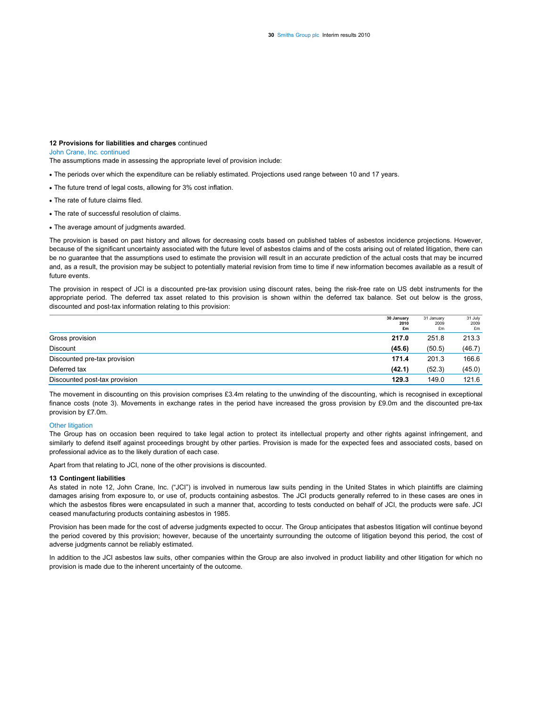#### **12 Provisions for liabilities and charges** continued

John Crane, Inc. continued

The assumptions made in assessing the appropriate level of provision include:

- The periods over which the expenditure can be reliably estimated. Projections used range between 10 and 17 years.
- The future trend of legal costs, allowing for 3% cost inflation.
- The rate of future claims filed.
- The rate of successful resolution of claims.
- The average amount of judgments awarded.

The provision is based on past history and allows for decreasing costs based on published tables of asbestos incidence projections. However, because of the significant uncertainty associated with the future level of asbestos claims and of the costs arising out of related litigation, there can be no guarantee that the assumptions used to estimate the provision will result in an accurate prediction of the actual costs that may be incurred and, as a result, the provision may be subject to potentially material revision from time to time if new information becomes available as a result of future events.

The provision in respect of JCI is a discounted pre-tax provision using discount rates, being the risk-free rate on US debt instruments for the appropriate period. The deferred tax asset related to this provision is shown within the deferred tax balance. Set out below is the gross, discounted and post-tax information relating to this provision:

|                               | 30 January<br>2010<br>£m | 31 January<br>2009<br>£m | 31 July<br>2009<br>£m |
|-------------------------------|--------------------------|--------------------------|-----------------------|
| Gross provision               | 217.0                    | 251.8                    | 213.3                 |
| <b>Discount</b>               | (45.6)                   | (50.5)                   | (46.7)                |
| Discounted pre-tax provision  | 171.4                    | 201.3                    | 166.6                 |
| Deferred tax                  | (42.1)                   | (52.3)                   | (45.0)                |
| Discounted post-tax provision | 129.3                    | 149.0                    | 121.6                 |

The movement in discounting on this provision comprises £3.4m relating to the unwinding of the discounting, which is recognised in exceptional finance costs (note 3). Movements in exchange rates in the period have increased the gross provision by £9.0m and the discounted pre-tax provision by £7.0m.

#### **Other litigation**

The Group has on occasion been required to take legal action to protect its intellectual property and other rights against infringement, and similarly to defend itself against proceedings brought by other parties. Provision is made for the expected fees and associated costs, based on professional advice as to the likely duration of each case.

Apart from that relating to JCI, none of the other provisions is discounted.

#### **13 Contingent liabilities**

As stated in note 12, John Crane, Inc. ("JCI") is involved in numerous law suits pending in the United States in which plaintiffs are claiming damages arising from exposure to, or use of, products containing asbestos. The JCI products generally referred to in these cases are ones in which the asbestos fibres were encapsulated in such a manner that, according to tests conducted on behalf of JCI, the products were safe. JCI ceased manufacturing products containing asbestos in 1985.

Provision has been made for the cost of adverse judgments expected to occur. The Group anticipates that asbestos litigation will continue beyond the period covered by this provision; however, because of the uncertainty surrounding the outcome of litigation beyond this period, the cost of adverse judgments cannot be reliably estimated.

In addition to the JCI asbestos law suits, other companies within the Group are also involved in product liability and other litigation for which no provision is made due to the inherent uncertainty of the outcome.